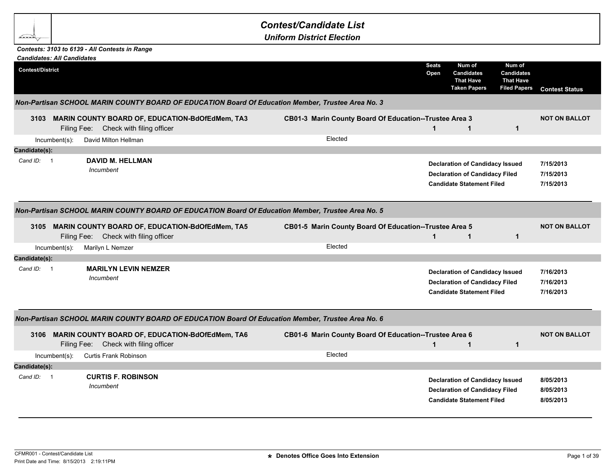## *Contest/Candidate List*

*Uniform District Election*

## *Contests: 3103 to 6139 - All Contests in Range*

bean

|                         | <b>Candidates: All Candidates</b> |                                                                                                   |                                                        |                      |                                                                                                                     |                                                                 |                                     |
|-------------------------|-----------------------------------|---------------------------------------------------------------------------------------------------|--------------------------------------------------------|----------------------|---------------------------------------------------------------------------------------------------------------------|-----------------------------------------------------------------|-------------------------------------|
| <b>Contest/District</b> |                                   |                                                                                                   |                                                        | <b>Seats</b><br>Open | Num of<br><b>Candidates</b><br><b>That Have</b><br><b>Taken Papers</b>                                              | Num of<br>Candidates<br><b>That Have</b><br><b>Filed Papers</b> | <b>Contest Status</b>               |
|                         |                                   | Non-Partisan SCHOOL MARIN COUNTY BOARD OF EDUCATION Board Of Education Member, Trustee Area No. 3 |                                                        |                      |                                                                                                                     |                                                                 |                                     |
|                         |                                   | 3103 MARIN COUNTY BOARD OF, EDUCATION-BdOfEdMem, TA3<br>Filing Fee: Check with filing officer     | CB01-3 Marin County Board Of Education--Trustee Area 3 | $\mathbf 1$          | $\mathbf{1}$                                                                                                        | $\mathbf{1}$                                                    | <b>NOT ON BALLOT</b>                |
|                         | $Incumbent(s)$ :                  | David Milton Hellman                                                                              | Elected                                                |                      |                                                                                                                     |                                                                 |                                     |
| Candidate(s):           |                                   |                                                                                                   |                                                        |                      |                                                                                                                     |                                                                 |                                     |
| Cand ID: 1              |                                   | <b>DAVID M. HELLMAN</b><br>Incumbent                                                              |                                                        |                      | <b>Declaration of Candidacy Issued</b><br><b>Declaration of Candidacy Filed</b><br><b>Candidate Statement Filed</b> |                                                                 | 7/15/2013<br>7/15/2013<br>7/15/2013 |
|                         |                                   | Non-Partisan SCHOOL MARIN COUNTY BOARD OF EDUCATION Board Of Education Member, Trustee Area No. 5 |                                                        |                      |                                                                                                                     |                                                                 |                                     |
|                         | Filing Fee:                       | 3105 MARIN COUNTY BOARD OF, EDUCATION-BdOfEdMem, TA5<br>Check with filing officer                 | CB01-5 Marin County Board Of Education--Trustee Area 5 | $\mathbf 1$          | $\mathbf 1$                                                                                                         | $\mathbf{1}$                                                    | <b>NOT ON BALLOT</b>                |
|                         | $lncumbent(s)$ :                  | Marilyn L Nemzer                                                                                  | Elected                                                |                      |                                                                                                                     |                                                                 |                                     |
| Candidate(s):           |                                   |                                                                                                   |                                                        |                      |                                                                                                                     |                                                                 |                                     |
| Cand ID: 1              |                                   | <b>MARILYN LEVIN NEMZER</b><br>Incumbent                                                          |                                                        |                      | <b>Declaration of Candidacy Issued</b><br><b>Declaration of Candidacy Filed</b><br><b>Candidate Statement Filed</b> |                                                                 | 7/16/2013<br>7/16/2013<br>7/16/2013 |
|                         |                                   | Non-Partisan SCHOOL MARIN COUNTY BOARD OF EDUCATION Board Of Education Member, Trustee Area No. 6 |                                                        |                      |                                                                                                                     |                                                                 |                                     |
| 3106                    | Filing Fee:                       | <b>MARIN COUNTY BOARD OF, EDUCATION-BdOfEdMem, TA6</b><br>Check with filing officer               | CB01-6 Marin County Board Of Education--Trustee Area 6 | $\mathbf{1}$         | $\mathbf{1}$                                                                                                        | $\mathbf{1}$                                                    | <b>NOT ON BALLOT</b>                |
|                         | $Incumbent(s)$ :                  | Curtis Frank Robinson                                                                             | Elected                                                |                      |                                                                                                                     |                                                                 |                                     |
| Candidate(s):           |                                   |                                                                                                   |                                                        |                      |                                                                                                                     |                                                                 |                                     |
| Cand ID: 1              |                                   | <b>CURTIS F. ROBINSON</b><br>Incumbent                                                            |                                                        |                      | <b>Declaration of Candidacy Issued</b><br><b>Declaration of Candidacy Filed</b><br><b>Candidate Statement Filed</b> |                                                                 | 8/05/2013<br>8/05/2013<br>8/05/2013 |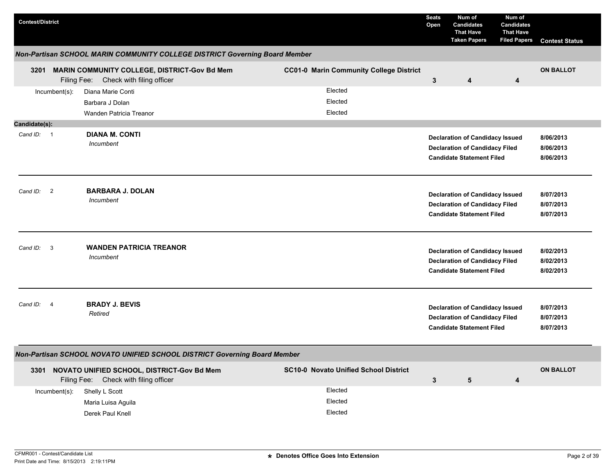| <b>Contest/District</b> |                         |                                                                                          |                                                | <b>Seats</b><br>Open | Num of<br><b>Candidates</b><br><b>That Have</b><br><b>Taken Papers</b>                                              | Num of<br><b>Candidates</b><br><b>That Have</b><br><b>Filed Papers</b> | <b>Contest Status</b>               |
|-------------------------|-------------------------|------------------------------------------------------------------------------------------|------------------------------------------------|----------------------|---------------------------------------------------------------------------------------------------------------------|------------------------------------------------------------------------|-------------------------------------|
|                         |                         | Non-Partisan SCHOOL MARIN COMMUNITY COLLEGE DISTRICT Governing Board Member              |                                                |                      |                                                                                                                     |                                                                        |                                     |
| 3201                    |                         | MARIN COMMUNITY COLLEGE, DISTRICT-Gov Bd Mem<br>Filing Fee: Check with filing officer    | <b>CC01-0 Marin Community College District</b> | $\mathbf{3}$         | 4                                                                                                                   | 4                                                                      | <b>ON BALLOT</b>                    |
|                         | Incumbent(s):           | Diana Marie Conti<br>Barbara J Dolan<br>Wanden Patricia Treanor                          | Elected<br>Elected<br>Elected                  |                      |                                                                                                                     |                                                                        |                                     |
| Candidate(s):           |                         |                                                                                          |                                                |                      |                                                                                                                     |                                                                        |                                     |
| Cand ID: 1              |                         | <b>DIANA M. CONTI</b><br>Incumbent                                                       |                                                |                      | <b>Declaration of Candidacy Issued</b><br><b>Declaration of Candidacy Filed</b><br><b>Candidate Statement Filed</b> |                                                                        | 8/06/2013<br>8/06/2013<br>8/06/2013 |
| Cand ID: 2              |                         | <b>BARBARA J. DOLAN</b><br>Incumbent                                                     |                                                |                      | <b>Declaration of Candidacy Issued</b><br><b>Declaration of Candidacy Filed</b><br><b>Candidate Statement Filed</b> |                                                                        | 8/07/2013<br>8/07/2013<br>8/07/2013 |
| Cand ID:                | $\overline{\mathbf{3}}$ | <b>WANDEN PATRICIA TREANOR</b><br>Incumbent                                              |                                                |                      | <b>Declaration of Candidacy Issued</b><br><b>Declaration of Candidacy Filed</b><br><b>Candidate Statement Filed</b> |                                                                        | 8/02/2013<br>8/02/2013<br>8/02/2013 |
| Cand ID: 4              |                         | <b>BRADY J. BEVIS</b><br>Retired                                                         |                                                |                      | <b>Declaration of Candidacy Issued</b><br><b>Declaration of Candidacy Filed</b><br><b>Candidate Statement Filed</b> |                                                                        | 8/07/2013<br>8/07/2013<br>8/07/2013 |
|                         |                         | Non-Partisan SCHOOL NOVATO UNIFIED SCHOOL DISTRICT Governing Board Member                |                                                |                      |                                                                                                                     |                                                                        |                                     |
|                         |                         | 3301 NOVATO UNIFIED SCHOOL, DISTRICT-Gov Bd Mem<br>Filing Fee: Check with filing officer | <b>SC10-0 Novato Unified School District</b>   | $\mathbf{3}$         | 5                                                                                                                   | 4                                                                      | <b>ON BALLOT</b>                    |
|                         | Incumbent(s):           | Shelly L Scott<br>Maria Luisa Aguila<br>Derek Paul Knell                                 | Elected<br>Elected<br>Elected                  |                      |                                                                                                                     |                                                                        |                                     |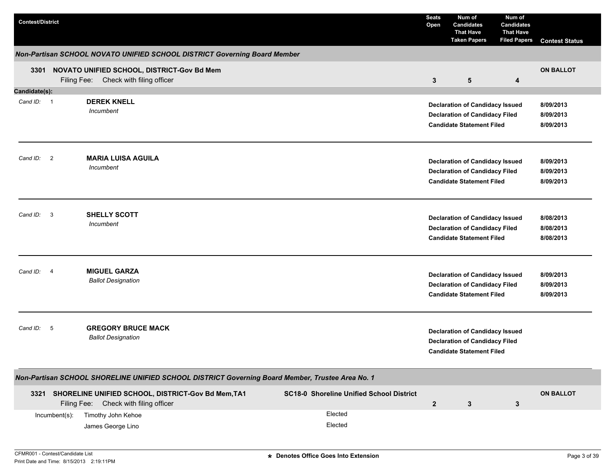| <b>Contest/District</b> |                         |                                                                                                                                        |                                                                       | <b>Seats</b><br>Open | Num of<br><b>Candidates</b><br><b>That Have</b><br><b>Taken Papers</b>                                              | Num of<br><b>Candidates</b><br><b>That Have</b><br><b>Filed Papers</b> | <b>Contest Status</b>               |
|-------------------------|-------------------------|----------------------------------------------------------------------------------------------------------------------------------------|-----------------------------------------------------------------------|----------------------|---------------------------------------------------------------------------------------------------------------------|------------------------------------------------------------------------|-------------------------------------|
|                         |                         | Non-Partisan SCHOOL NOVATO UNIFIED SCHOOL DISTRICT Governing Board Member                                                              |                                                                       |                      |                                                                                                                     |                                                                        |                                     |
|                         |                         | 3301 NOVATO UNIFIED SCHOOL, DISTRICT-Gov Bd Mem<br>Filing Fee: Check with filing officer                                               |                                                                       | 3                    | 5                                                                                                                   | 4                                                                      | <b>ON BALLOT</b>                    |
| Candidate(s):           |                         |                                                                                                                                        |                                                                       |                      |                                                                                                                     |                                                                        |                                     |
| Cand ID: 1              |                         | <b>DEREK KNELL</b><br>Incumbent                                                                                                        |                                                                       |                      | <b>Declaration of Candidacy Issued</b><br><b>Declaration of Candidacy Filed</b><br><b>Candidate Statement Filed</b> |                                                                        | 8/09/2013<br>8/09/2013<br>8/09/2013 |
| Cand ID: 2              |                         | <b>MARIA LUISA AGUILA</b><br>Incumbent                                                                                                 |                                                                       |                      | <b>Declaration of Candidacy Issued</b><br><b>Declaration of Candidacy Filed</b><br><b>Candidate Statement Filed</b> |                                                                        | 8/09/2013<br>8/09/2013<br>8/09/2013 |
| Cand ID:                | $\overline{\mathbf{3}}$ | <b>SHELLY SCOTT</b><br>Incumbent                                                                                                       |                                                                       |                      | <b>Declaration of Candidacy Issued</b><br><b>Declaration of Candidacy Filed</b><br><b>Candidate Statement Filed</b> |                                                                        | 8/08/2013<br>8/08/2013<br>8/08/2013 |
| Cand ID: 4              |                         | <b>MIGUEL GARZA</b><br><b>Ballot Designation</b>                                                                                       |                                                                       |                      | <b>Declaration of Candidacy Issued</b><br><b>Declaration of Candidacy Filed</b><br><b>Candidate Statement Filed</b> |                                                                        | 8/09/2013<br>8/09/2013<br>8/09/2013 |
| Cand ID: 5              |                         | <b>GREGORY BRUCE MACK</b><br><b>Ballot Designation</b>                                                                                 |                                                                       |                      | <b>Declaration of Candidacy Issued</b><br><b>Declaration of Candidacy Filed</b><br><b>Candidate Statement Filed</b> |                                                                        |                                     |
|                         |                         | Non-Partisan SCHOOL SHORELINE UNIFIED SCHOOL DISTRICT Governing Board Member, Trustee Area No. 1                                       |                                                                       |                      |                                                                                                                     |                                                                        |                                     |
| 3321                    | Incumbent(s):           | SHORELINE UNIFIED SCHOOL, DISTRICT-Gov Bd Mem, TA1<br>Filing Fee: Check with filing officer<br>Timothy John Kehoe<br>James George Lino | <b>SC18-0 Shoreline Unified School District</b><br>Elected<br>Elected | $\mathbf{2}$         | 3                                                                                                                   | 3                                                                      | <b>ON BALLOT</b>                    |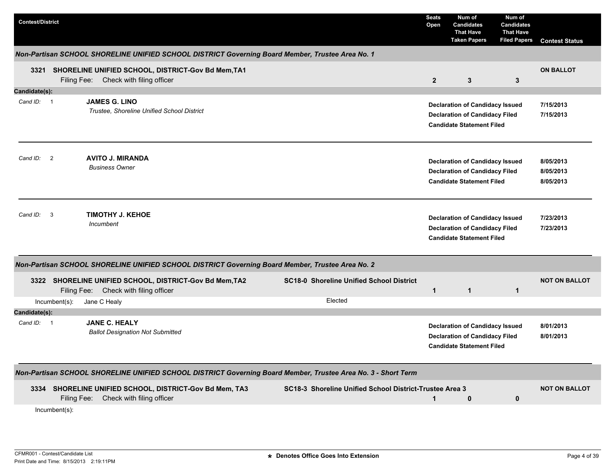| <b>Contest/District</b>                                                                                                                                        | <b>Seats</b><br>Open | Num of<br><b>Candidates</b><br><b>That Have</b><br><b>Taken Papers</b>                                              | Num of<br><b>Candidates</b><br><b>That Have</b><br><b>Filed Papers</b> | <b>Contest Status</b>               |
|----------------------------------------------------------------------------------------------------------------------------------------------------------------|----------------------|---------------------------------------------------------------------------------------------------------------------|------------------------------------------------------------------------|-------------------------------------|
| Non-Partisan SCHOOL SHORELINE UNIFIED SCHOOL DISTRICT Governing Board Member, Trustee Area No. 1                                                               |                      |                                                                                                                     |                                                                        |                                     |
| 3321 SHORELINE UNIFIED SCHOOL, DISTRICT-Gov Bd Mem, TA1<br>Filing Fee: Check with filing officer                                                               | $\overline{2}$       | 3                                                                                                                   | 3                                                                      | <b>ON BALLOT</b>                    |
| Candidate(s):                                                                                                                                                  |                      |                                                                                                                     |                                                                        |                                     |
| <b>JAMES G. LINO</b><br>Cand ID: 1<br>Trustee, Shoreline Unified School District                                                                               |                      | <b>Declaration of Candidacy Issued</b><br><b>Declaration of Candidacy Filed</b><br><b>Candidate Statement Filed</b> |                                                                        | 7/15/2013<br>7/15/2013              |
| <b>AVITO J. MIRANDA</b><br>Cand ID: 2<br><b>Business Owner</b>                                                                                                 |                      | <b>Declaration of Candidacy Issued</b><br><b>Declaration of Candidacy Filed</b><br><b>Candidate Statement Filed</b> |                                                                        | 8/05/2013<br>8/05/2013<br>8/05/2013 |
| <b>TIMOTHY J. KEHOE</b><br>Cand ID:<br>$\overline{\mathbf{3}}$<br>Incumbent                                                                                    |                      | <b>Declaration of Candidacy Issued</b><br><b>Declaration of Candidacy Filed</b><br><b>Candidate Statement Filed</b> |                                                                        | 7/23/2013<br>7/23/2013              |
| Non-Partisan SCHOOL SHORELINE UNIFIED SCHOOL DISTRICT Governing Board Member, Trustee Area No. 2                                                               |                      |                                                                                                                     |                                                                        |                                     |
| <b>SC18-0 Shoreline Unified School District</b><br>SHORELINE UNIFIED SCHOOL, DISTRICT-Gov Bd Mem, TA2<br>3322<br>Check with filing officer<br>Filing Fee:      | $\mathbf{1}$         | $\mathbf{1}$                                                                                                        | $\mathbf 1$                                                            | <b>NOT ON BALLOT</b>                |
| Elected<br>Incumbent(s):<br>Jane C Healy                                                                                                                       |                      |                                                                                                                     |                                                                        |                                     |
| Candidate(s):                                                                                                                                                  |                      |                                                                                                                     |                                                                        |                                     |
| <b>JANE C. HEALY</b><br>Cand $ID: 1$<br><b>Ballot Designation Not Submitted</b>                                                                                |                      | <b>Declaration of Candidacy Issued</b><br><b>Declaration of Candidacy Filed</b><br><b>Candidate Statement Filed</b> |                                                                        | 8/01/2013<br>8/01/2013              |
| Non-Partisan SCHOOL SHORELINE UNIFIED SCHOOL DISTRICT Governing Board Member, Trustee Area No. 3 - Short Term                                                  |                      |                                                                                                                     |                                                                        |                                     |
| 3334 SHORELINE UNIFIED SCHOOL, DISTRICT-Gov Bd Mem, TA3<br>SC18-3 Shoreline Unified School District-Trustee Area 3<br>Filing Fee:<br>Check with filing officer | $\mathbf{1}$         | 0                                                                                                                   | 0                                                                      | <b>NOT ON BALLOT</b>                |
| Incumbent(s):                                                                                                                                                  |                      |                                                                                                                     |                                                                        |                                     |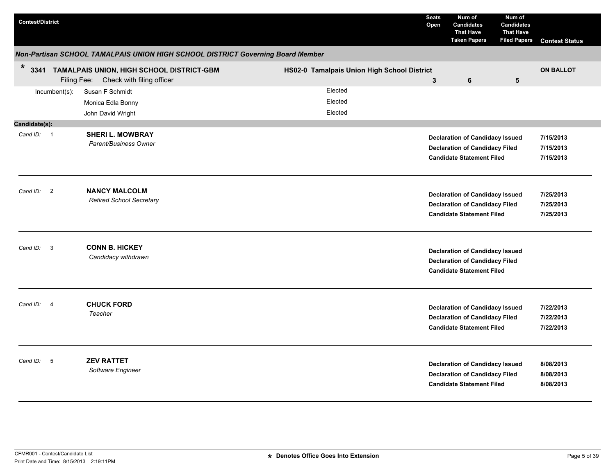| <b>Contest/District</b>             |                                                                                         |                                             | <b>Seats</b><br>Open | Num of<br><b>Candidates</b><br><b>That Have</b><br><b>Taken Papers</b>                                              | Num of<br><b>Candidates</b><br><b>That Have</b><br><b>Filed Papers</b> | <b>Contest Status</b>               |
|-------------------------------------|-----------------------------------------------------------------------------------------|---------------------------------------------|----------------------|---------------------------------------------------------------------------------------------------------------------|------------------------------------------------------------------------|-------------------------------------|
|                                     | Non-Partisan SCHOOL TAMALPAIS UNION HIGH SCHOOL DISTRICT Governing Board Member         |                                             |                      |                                                                                                                     |                                                                        |                                     |
| $\ast$                              | 3341 TAMALPAIS UNION, HIGH SCHOOL DISTRICT-GBM<br>Filing Fee: Check with filing officer | HS02-0 Tamalpais Union High School District | $\mathbf{3}$         | 6                                                                                                                   | $5\phantom{.0}$                                                        | <b>ON BALLOT</b>                    |
| Incumbent(s):                       | Susan F Schmidt<br>Monica Edla Bonny<br>John David Wright                               | Elected<br>Elected<br>Elected               |                      |                                                                                                                     |                                                                        |                                     |
| Candidate(s):                       |                                                                                         |                                             |                      |                                                                                                                     |                                                                        |                                     |
| Cand ID: 1                          | <b>SHERI L. MOWBRAY</b><br>Parent/Business Owner                                        |                                             |                      | <b>Declaration of Candidacy Issued</b><br><b>Declaration of Candidacy Filed</b><br><b>Candidate Statement Filed</b> |                                                                        | 7/15/2013<br>7/15/2013<br>7/15/2013 |
| Cand ID: 2                          | <b>NANCY MALCOLM</b><br><b>Retired School Secretary</b>                                 |                                             |                      | <b>Declaration of Candidacy Issued</b><br><b>Declaration of Candidacy Filed</b><br><b>Candidate Statement Filed</b> |                                                                        | 7/25/2013<br>7/25/2013<br>7/25/2013 |
| $\overline{\mathbf{3}}$<br>Cand ID: | <b>CONN B. HICKEY</b><br>Candidacy withdrawn                                            |                                             |                      | <b>Declaration of Candidacy Issued</b><br><b>Declaration of Candidacy Filed</b><br><b>Candidate Statement Filed</b> |                                                                        |                                     |
| Cand ID:<br>$\overline{4}$          | <b>CHUCK FORD</b><br>Teacher                                                            |                                             |                      | <b>Declaration of Candidacy Issued</b><br><b>Declaration of Candidacy Filed</b><br><b>Candidate Statement Filed</b> |                                                                        | 7/22/2013<br>7/22/2013<br>7/22/2013 |
| Cand ID:<br>$-5$                    | <b>ZEV RATTET</b><br>Software Engineer                                                  |                                             |                      | <b>Declaration of Candidacy Issued</b><br><b>Declaration of Candidacy Filed</b><br><b>Candidate Statement Filed</b> |                                                                        | 8/08/2013<br>8/08/2013<br>8/08/2013 |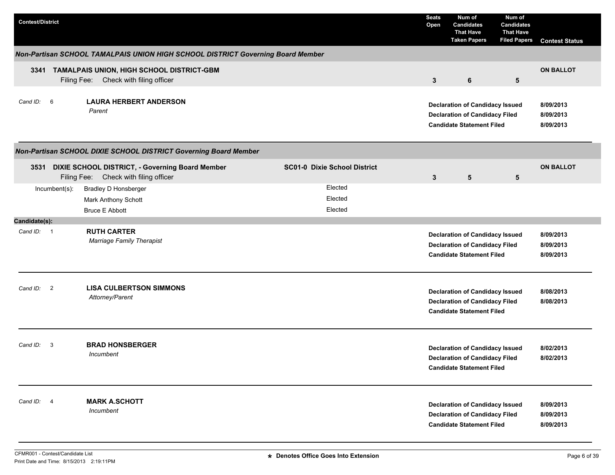| <b>Contest/District</b>             |                                                                                               |                                     | <b>Seats</b><br>Open | Num of<br><b>Candidates</b><br><b>That Have</b><br><b>Taken Papers</b>                                              | Num of<br><b>Candidates</b><br><b>That Have</b><br><b>Filed Papers</b> | <b>Contest Status</b>               |
|-------------------------------------|-----------------------------------------------------------------------------------------------|-------------------------------------|----------------------|---------------------------------------------------------------------------------------------------------------------|------------------------------------------------------------------------|-------------------------------------|
|                                     | Non-Partisan SCHOOL TAMALPAIS UNION HIGH SCHOOL DISTRICT Governing Board Member               |                                     |                      |                                                                                                                     |                                                                        |                                     |
|                                     | 3341 TAMALPAIS UNION, HIGH SCHOOL DISTRICT-GBM<br>Filing Fee: Check with filing officer       |                                     | $\mathbf{3}$         | 6                                                                                                                   | 5                                                                      | <b>ON BALLOT</b>                    |
| Cand ID: 6                          | <b>LAURA HERBERT ANDERSON</b><br>Parent                                                       |                                     |                      | <b>Declaration of Candidacy Issued</b><br><b>Declaration of Candidacy Filed</b><br><b>Candidate Statement Filed</b> |                                                                        | 8/09/2013<br>8/09/2013<br>8/09/2013 |
|                                     | Non-Partisan SCHOOL DIXIE SCHOOL DISTRICT Governing Board Member                              |                                     |                      |                                                                                                                     |                                                                        |                                     |
|                                     | 3531 DIXIE SCHOOL DISTRICT, - Governing Board Member<br>Filing Fee: Check with filing officer | <b>SC01-0 Dixie School District</b> | 3                    | 5                                                                                                                   | 5                                                                      | <b>ON BALLOT</b>                    |
| Incumbent(s):                       | <b>Bradley D Honsberger</b>                                                                   | Elected                             |                      |                                                                                                                     |                                                                        |                                     |
|                                     | Mark Anthony Schott                                                                           | Elected                             |                      |                                                                                                                     |                                                                        |                                     |
|                                     | <b>Bruce E Abbott</b>                                                                         | Elected                             |                      |                                                                                                                     |                                                                        |                                     |
| Candidate(s):<br>Cand ID: 1         | <b>RUTH CARTER</b><br><b>Marriage Family Therapist</b>                                        |                                     |                      | <b>Declaration of Candidacy Issued</b><br><b>Declaration of Candidacy Filed</b><br><b>Candidate Statement Filed</b> |                                                                        | 8/09/2013<br>8/09/2013<br>8/09/2013 |
| $\overline{2}$<br>Cand ID:          | <b>LISA CULBERTSON SIMMONS</b><br>Attorney/Parent                                             |                                     |                      | <b>Declaration of Candidacy Issued</b><br><b>Declaration of Candidacy Filed</b><br><b>Candidate Statement Filed</b> |                                                                        | 8/08/2013<br>8/08/2013              |
| Cand ID:<br>$\overline{\mathbf{3}}$ | <b>BRAD HONSBERGER</b><br>Incumbent                                                           |                                     |                      | <b>Declaration of Candidacy Issued</b><br><b>Declaration of Candidacy Filed</b><br><b>Candidate Statement Filed</b> |                                                                        | 8/02/2013<br>8/02/2013              |
| Cand ID: 4                          | <b>MARK A.SCHOTT</b><br>Incumbent                                                             |                                     |                      | <b>Declaration of Candidacy Issued</b><br><b>Declaration of Candidacy Filed</b><br><b>Candidate Statement Filed</b> |                                                                        | 8/09/2013<br>8/09/2013<br>8/09/2013 |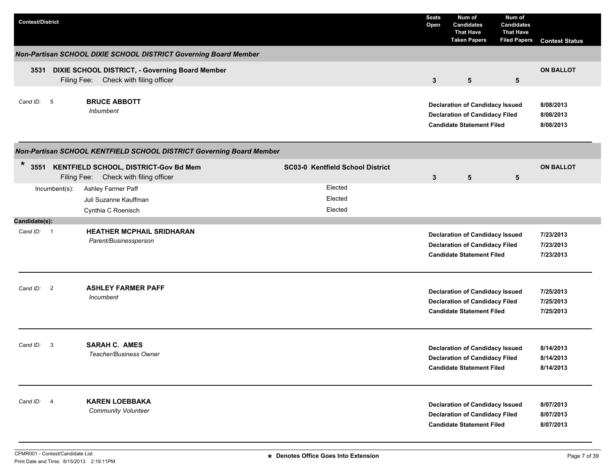| <b>Contest/District</b> |                                                                                     |                                         | <b>Seats</b><br>Open | Num of<br><b>Candidates</b><br><b>That Have</b><br><b>Taken Papers</b>                                              | Num of<br><b>Candidates</b><br><b>That Have</b><br><b>Filed Papers</b> | <b>Contest Status</b>               |
|-------------------------|-------------------------------------------------------------------------------------|-----------------------------------------|----------------------|---------------------------------------------------------------------------------------------------------------------|------------------------------------------------------------------------|-------------------------------------|
|                         | Non-Partisan SCHOOL DIXIE SCHOOL DISTRICT Governing Board Member                    |                                         |                      |                                                                                                                     |                                                                        |                                     |
| 3531<br>Filing Fee:     | DIXIE SCHOOL DISTRICT, - Governing Board Member<br>Check with filing officer        |                                         | $\mathbf{3}$         | $5\phantom{.0}$                                                                                                     | 5                                                                      | <b>ON BALLOT</b>                    |
| Cand ID: 5              | <b>BRUCE ABBOTT</b><br><b>Inbumbent</b>                                             |                                         |                      | <b>Declaration of Candidacy Issued</b><br><b>Declaration of Candidacy Filed</b><br><b>Candidate Statement Filed</b> |                                                                        | 8/08/2013<br>8/08/2013<br>8/08/2013 |
|                         | Non-Partisan SCHOOL KENTFIELD SCHOOL DISTRICT Governing Board Member                |                                         |                      |                                                                                                                     |                                                                        |                                     |
| $\star$                 | 3551 KENTFIELD SCHOOL, DISTRICT-Gov Bd Mem<br>Filing Fee: Check with filing officer | <b>SC03-0 Kentfield School District</b> | 3                    | 5                                                                                                                   | 5                                                                      | <b>ON BALLOT</b>                    |
| $Incumbent(s)$ :        | Ashley Farmer Paff<br>Juli Suzanne Kauffman<br>Cynthia C Roenisch                   | Elected<br>Elected<br>Elected           |                      |                                                                                                                     |                                                                        |                                     |
| Candidate(s):           |                                                                                     |                                         |                      |                                                                                                                     |                                                                        |                                     |
| Cand ID: 1              | <b>HEATHER MCPHAIL SRIDHARAN</b><br>Parent/Businessperson                           |                                         |                      | <b>Declaration of Candidacy Issued</b><br><b>Declaration of Candidacy Filed</b><br><b>Candidate Statement Filed</b> |                                                                        | 7/23/2013<br>7/23/2013<br>7/23/2013 |
| Cand ID: 2              | <b>ASHLEY FARMER PAFF</b><br>Incumbent                                              |                                         |                      | <b>Declaration of Candidacy Issued</b><br><b>Declaration of Candidacy Filed</b><br><b>Candidate Statement Filed</b> |                                                                        | 7/25/2013<br>7/25/2013<br>7/25/2013 |
| Cand ID: 3              | <b>SARAH C. AMES</b><br>Teacher/Business Owner                                      |                                         |                      | <b>Declaration of Candidacy Issued</b><br><b>Declaration of Candidacy Filed</b><br><b>Candidate Statement Filed</b> |                                                                        | 8/14/2013<br>8/14/2013<br>8/14/2013 |
| Cand ID: 4              | <b>KAREN LOEBBAKA</b><br>Community Volunteer                                        |                                         |                      | <b>Declaration of Candidacy Issued</b><br><b>Declaration of Candidacy Filed</b><br><b>Candidate Statement Filed</b> |                                                                        | 8/07/2013<br>8/07/2013<br>8/07/2013 |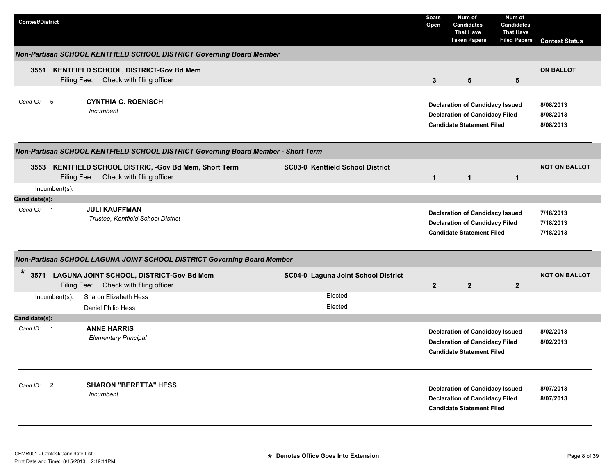| <b>Contest/District</b> |               |                                                                                            |                                         | <b>Seats</b><br>Open | Num of<br><b>Candidates</b><br><b>That Have</b><br><b>Taken Papers</b>                                              | Num of<br><b>Candidates</b><br><b>That Have</b><br><b>Filed Papers</b> | <b>Contest Status</b>               |
|-------------------------|---------------|--------------------------------------------------------------------------------------------|-----------------------------------------|----------------------|---------------------------------------------------------------------------------------------------------------------|------------------------------------------------------------------------|-------------------------------------|
|                         |               | Non-Partisan SCHOOL KENTFIELD SCHOOL DISTRICT Governing Board Member                       |                                         |                      |                                                                                                                     |                                                                        |                                     |
| 3551                    |               | KENTFIELD SCHOOL, DISTRICT-Gov Bd Mem<br>Filing Fee: Check with filing officer             |                                         | $\mathbf{3}$         | $5\phantom{.0}$                                                                                                     | 5                                                                      | <b>ON BALLOT</b>                    |
| Cand ID:                | $-5$          | <b>CYNTHIA C. ROENISCH</b><br>Incumbent                                                    |                                         |                      | <b>Declaration of Candidacy Issued</b><br><b>Declaration of Candidacy Filed</b><br><b>Candidate Statement Filed</b> |                                                                        | 8/08/2013<br>8/08/2013<br>8/08/2013 |
|                         |               | Non-Partisan SCHOOL KENTFIELD SCHOOL DISTRICT Governing Board Member - Short Term          |                                         |                      |                                                                                                                     |                                                                        |                                     |
| 3553                    |               | KENTFIELD SCHOOL DISTRIC, -Gov Bd Mem, Short Term<br>Filing Fee: Check with filing officer | <b>SC03-0 Kentfield School District</b> | $\mathbf{1}$         | $\mathbf{1}$                                                                                                        | $\mathbf{1}$                                                           | <b>NOT ON BALLOT</b>                |
| Candidate(s):           | Incumbent(s): |                                                                                            |                                         |                      |                                                                                                                     |                                                                        |                                     |
| Cand ID: 1              |               | <b>JULI KAUFFMAN</b><br>Trustee, Kentfield School District                                 |                                         |                      | <b>Declaration of Candidacy Issued</b><br><b>Declaration of Candidacy Filed</b><br><b>Candidate Statement Filed</b> |                                                                        | 7/18/2013<br>7/18/2013<br>7/18/2013 |
|                         |               | Non-Partisan SCHOOL LAGUNA JOINT SCHOOL DISTRICT Governing Board Member                    |                                         |                      |                                                                                                                     |                                                                        |                                     |
| $\ast$<br>3571          |               | LAGUNA JOINT SCHOOL, DISTRICT-Gov Bd Mem<br>Filing Fee: Check with filing officer          | SC04-0 Laguna Joint School District     | $\overline{2}$       | $\overline{2}$                                                                                                      | $\mathbf{2}$                                                           | <b>NOT ON BALLOT</b>                |
|                         | Incumbent(s): | Sharon Elizabeth Hess<br>Daniel Philip Hess                                                | Elected<br>Elected                      |                      |                                                                                                                     |                                                                        |                                     |
| Candidate(s):           |               |                                                                                            |                                         |                      |                                                                                                                     |                                                                        |                                     |
| Cand ID: 1              |               | <b>ANNE HARRIS</b><br><b>Elementary Principal</b>                                          |                                         |                      | <b>Declaration of Candidacy Issued</b><br><b>Declaration of Candidacy Filed</b><br><b>Candidate Statement Filed</b> |                                                                        | 8/02/2013<br>8/02/2013              |
| Cand ID: 2              |               | <b>SHARON "BERETTA" HESS</b><br>Incumbent                                                  |                                         |                      | <b>Declaration of Candidacy Issued</b><br><b>Declaration of Candidacy Filed</b><br><b>Candidate Statement Filed</b> |                                                                        | 8/07/2013<br>8/07/2013              |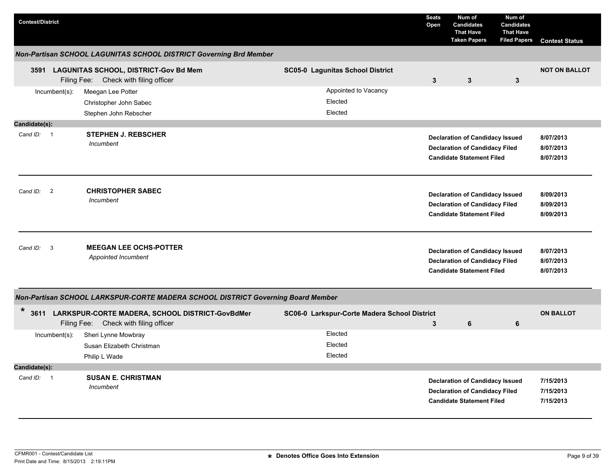| <b>Contest/District</b>                |                                                                                                  |                                              | <b>Seats</b><br>Open | Num of<br><b>Candidates</b><br><b>That Have</b><br><b>Taken Papers</b>                                              | Num of<br>Candidates<br><b>That Have</b><br><b>Filed Papers</b> | <b>Contest Status</b>               |
|----------------------------------------|--------------------------------------------------------------------------------------------------|----------------------------------------------|----------------------|---------------------------------------------------------------------------------------------------------------------|-----------------------------------------------------------------|-------------------------------------|
|                                        | Non-Partisan SCHOOL LAGUNITAS SCHOOL DISTRICT Governing Brd Member                               |                                              |                      |                                                                                                                     |                                                                 |                                     |
|                                        | 3591 LAGUNITAS SCHOOL, DISTRICT-Gov Bd Mem<br>Filing Fee: Check with filing officer              | <b>SC05-0 Lagunitas School District</b>      | $\mathbf{3}$         | $\mathbf{3}$                                                                                                        | 3                                                               | <b>NOT ON BALLOT</b>                |
| $Incumbent(s)$ :                       | Meegan Lee Potter<br>Christopher John Sabec<br>Stephen John Rebscher                             | Appointed to Vacancy<br>Elected<br>Elected   |                      |                                                                                                                     |                                                                 |                                     |
| Candidate(s):                          |                                                                                                  |                                              |                      |                                                                                                                     |                                                                 |                                     |
| Cand ID: 1                             | <b>STEPHEN J. REBSCHER</b><br>Incumbent                                                          |                                              |                      | <b>Declaration of Candidacy Issued</b><br><b>Declaration of Candidacy Filed</b><br><b>Candidate Statement Filed</b> |                                                                 | 8/07/2013<br>8/07/2013<br>8/07/2013 |
| $\overline{2}$<br>Cand ID:             | <b>CHRISTOPHER SABEC</b><br>Incumbent                                                            |                                              |                      | <b>Declaration of Candidacy Issued</b><br><b>Declaration of Candidacy Filed</b><br><b>Candidate Statement Filed</b> |                                                                 | 8/09/2013<br>8/09/2013<br>8/09/2013 |
| Cand ID:<br>-3                         | <b>MEEGAN LEE OCHS-POTTER</b><br>Appointed Incumbent                                             |                                              |                      | <b>Declaration of Candidacy Issued</b><br><b>Declaration of Candidacy Filed</b><br><b>Candidate Statement Filed</b> |                                                                 | 8/07/2013<br>8/07/2013<br>8/07/2013 |
|                                        | Non-Partisan SCHOOL LARKSPUR-CORTE MADERA SCHOOL DISTRICT Governing Board Member                 |                                              |                      |                                                                                                                     |                                                                 |                                     |
| *                                      | 3611 LARKSPUR-CORTE MADERA, SCHOOL DISTRICT-GovBdMer<br>Check with filing officer<br>Filing Fee: | SC06-0 Larkspur-Corte Madera School District | 3                    | 6                                                                                                                   | 6                                                               | <b>ON BALLOT</b>                    |
| $Incumbent(s)$ :                       | Sheri Lynne Mowbray                                                                              | Elected                                      |                      |                                                                                                                     |                                                                 |                                     |
|                                        | Susan Elizabeth Christman                                                                        | Elected                                      |                      |                                                                                                                     |                                                                 |                                     |
|                                        | Philip L Wade                                                                                    | Elected                                      |                      |                                                                                                                     |                                                                 |                                     |
| Candidate(s):                          |                                                                                                  |                                              |                      |                                                                                                                     |                                                                 |                                     |
| Cand ID:<br>$\overline{\phantom{0}}$ 1 | <b>SUSAN E. CHRISTMAN</b><br>Incumbent                                                           |                                              |                      | <b>Declaration of Candidacy Issued</b><br><b>Declaration of Candidacy Filed</b><br><b>Candidate Statement Filed</b> |                                                                 | 7/15/2013<br>7/15/2013<br>7/15/2013 |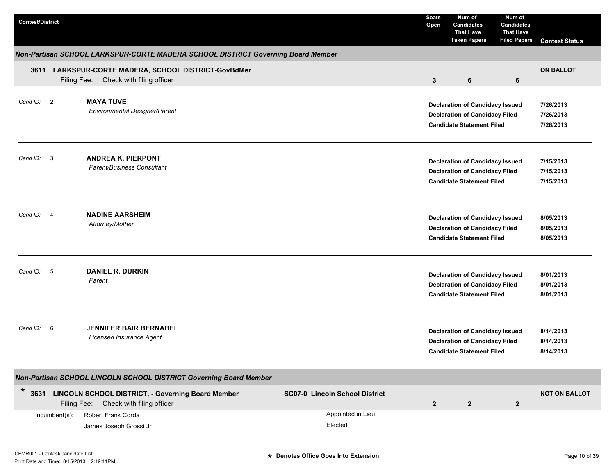| <b>Contest/District</b> |                          |                                                                                                  |                                       | <b>Seats</b><br>Open | Num of<br><b>Candidates</b><br><b>That Have</b><br><b>Taken Papers</b>                                              | Num of<br><b>Candidates</b><br><b>That Have</b><br><b>Filed Papers</b> | <b>Contest Status</b>               |
|-------------------------|--------------------------|--------------------------------------------------------------------------------------------------|---------------------------------------|----------------------|---------------------------------------------------------------------------------------------------------------------|------------------------------------------------------------------------|-------------------------------------|
|                         |                          | Non-Partisan SCHOOL LARKSPUR-CORTE MADERA SCHOOL DISTRICT Governing Board Member                 |                                       |                      |                                                                                                                     |                                                                        |                                     |
|                         |                          | 3611 LARKSPUR-CORTE MADERA, SCHOOL DISTRICT-GovBdMer<br>Check with filing officer<br>Filing Fee: |                                       | $\mathbf{3}$         | 6                                                                                                                   | 6                                                                      | <b>ON BALLOT</b>                    |
| Cand ID: 2              |                          | <b>MAYA TUVE</b><br><b>Environmental Designer/Parent</b>                                         |                                       |                      | <b>Declaration of Candidacy Issued</b><br><b>Declaration of Candidacy Filed</b><br><b>Candidate Statement Filed</b> |                                                                        | 7/26/2013<br>7/26/2013<br>7/26/2013 |
| Cand ID: 3              |                          | <b>ANDREA K. PIERPONT</b><br>Parent/Business Consultant                                          |                                       |                      | <b>Declaration of Candidacy Issued</b><br><b>Declaration of Candidacy Filed</b><br><b>Candidate Statement Filed</b> |                                                                        | 7/15/2013<br>7/15/2013<br>7/15/2013 |
| Cand ID:                | $\overline{\phantom{a}}$ | <b>NADINE AARSHEIM</b><br>Attorney/Mother                                                        |                                       |                      | <b>Declaration of Candidacy Issued</b><br><b>Declaration of Candidacy Filed</b><br><b>Candidate Statement Filed</b> |                                                                        | 8/05/2013<br>8/05/2013<br>8/05/2013 |
| Cand ID: 5              |                          | <b>DANIEL R. DURKIN</b><br>Parent                                                                |                                       |                      | <b>Declaration of Candidacy Issued</b><br><b>Declaration of Candidacy Filed</b><br><b>Candidate Statement Filed</b> |                                                                        | 8/01/2013<br>8/01/2013<br>8/01/2013 |
| Cand ID:                | 6                        | <b>JENNIFER BAIR BERNABEI</b><br><b>Licensed Insurance Agent</b>                                 |                                       |                      | <b>Declaration of Candidacy Issued</b><br><b>Declaration of Candidacy Filed</b><br><b>Candidate Statement Filed</b> |                                                                        | 8/14/2013<br>8/14/2013<br>8/14/2013 |
|                         |                          | Non-Partisan SCHOOL LINCOLN SCHOOL DISTRICT Governing Board Member                               |                                       |                      |                                                                                                                     |                                                                        |                                     |
| $\star$                 |                          | 3631 LINCOLN SCHOOL DISTRICT, - Governing Board Member<br>Filing Fee: Check with filing officer  | <b>SC07-0 Lincoln School District</b> | $\mathbf{2}$         | $\overline{2}$                                                                                                      | $\overline{2}$                                                         | <b>NOT ON BALLOT</b>                |
|                         | Incumbent(s):            | Robert Frank Corda<br>James Joseph Grossi Jr                                                     | Appointed in Lieu<br>Elected          |                      |                                                                                                                     |                                                                        |                                     |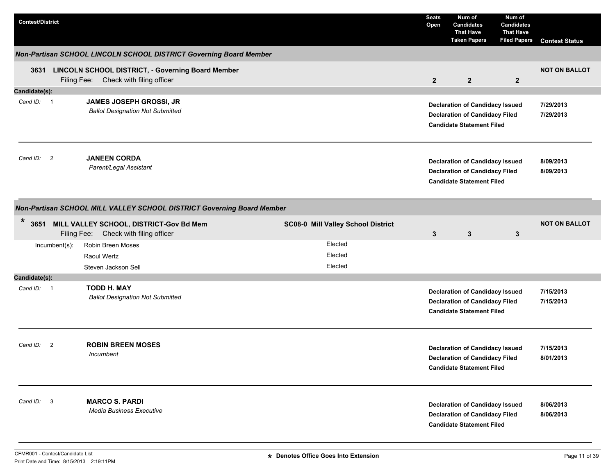| <b>Contest/District</b>    |               |                                                                                                 |                                    | <b>Seats</b><br>Open | Num of<br><b>Candidates</b><br><b>That Have</b><br><b>Taken Papers</b>                                              | Num of<br><b>Candidates</b><br><b>That Have</b><br><b>Filed Papers</b> | <b>Contest Status</b>  |
|----------------------------|---------------|-------------------------------------------------------------------------------------------------|------------------------------------|----------------------|---------------------------------------------------------------------------------------------------------------------|------------------------------------------------------------------------|------------------------|
|                            |               | Non-Partisan SCHOOL LINCOLN SCHOOL DISTRICT Governing Board Member                              |                                    |                      |                                                                                                                     |                                                                        |                        |
|                            |               | 3631 LINCOLN SCHOOL DISTRICT, - Governing Board Member<br>Filing Fee: Check with filing officer |                                    | $\overline{2}$       | $\overline{2}$                                                                                                      | $\mathbf{2}$                                                           | <b>NOT ON BALLOT</b>   |
| Candidate(s):              |               |                                                                                                 |                                    |                      |                                                                                                                     |                                                                        |                        |
| Cand ID: 1                 |               | JAMES JOSEPH GROSSI, JR<br><b>Ballot Designation Not Submitted</b>                              |                                    |                      | <b>Declaration of Candidacy Issued</b><br><b>Declaration of Candidacy Filed</b><br><b>Candidate Statement Filed</b> |                                                                        | 7/29/2013<br>7/29/2013 |
| Cand ID: 2                 |               | <b>JANEEN CORDA</b><br>Parent/Legal Assistant                                                   |                                    |                      | <b>Declaration of Candidacy Issued</b><br><b>Declaration of Candidacy Filed</b><br><b>Candidate Statement Filed</b> |                                                                        | 8/09/2013<br>8/09/2013 |
|                            |               | Non-Partisan SCHOOL MILL VALLEY SCHOOL DISTRICT Governing Board Member                          |                                    |                      |                                                                                                                     |                                                                        |                        |
| $\ast$                     |               | 3651 MILL VALLEY SCHOOL, DISTRICT-Gov Bd Mem<br>Filing Fee: Check with filing officer           | SC08-0 Mill Valley School District | 3                    | $\mathbf{3}$                                                                                                        | 3                                                                      | <b>NOT ON BALLOT</b>   |
|                            | Incumbent(s): | <b>Robin Breen Moses</b>                                                                        | Elected                            |                      |                                                                                                                     |                                                                        |                        |
|                            |               | Raoul Wertz                                                                                     | Elected                            |                      |                                                                                                                     |                                                                        |                        |
|                            |               | Steven Jackson Sell                                                                             | Elected                            |                      |                                                                                                                     |                                                                        |                        |
| Candidate(s):              |               |                                                                                                 |                                    |                      |                                                                                                                     |                                                                        |                        |
| Cand ID: 1                 |               | <b>TODD H. MAY</b><br><b>Ballot Designation Not Submitted</b>                                   |                                    |                      | <b>Declaration of Candidacy Issued</b><br><b>Declaration of Candidacy Filed</b><br><b>Candidate Statement Filed</b> |                                                                        | 7/15/2013<br>7/15/2013 |
| Cand ID:<br>$\overline{2}$ |               | <b>ROBIN BREEN MOSES</b><br>Incumbent                                                           |                                    |                      | <b>Declaration of Candidacy Issued</b><br><b>Declaration of Candidacy Filed</b><br><b>Candidate Statement Filed</b> |                                                                        | 7/15/2013<br>8/01/2013 |
| Cand ID: 3                 |               | <b>MARCO S. PARDI</b><br><b>Media Business Executive</b>                                        |                                    |                      | <b>Declaration of Candidacy Issued</b><br><b>Declaration of Candidacy Filed</b><br><b>Candidate Statement Filed</b> |                                                                        | 8/06/2013<br>8/06/2013 |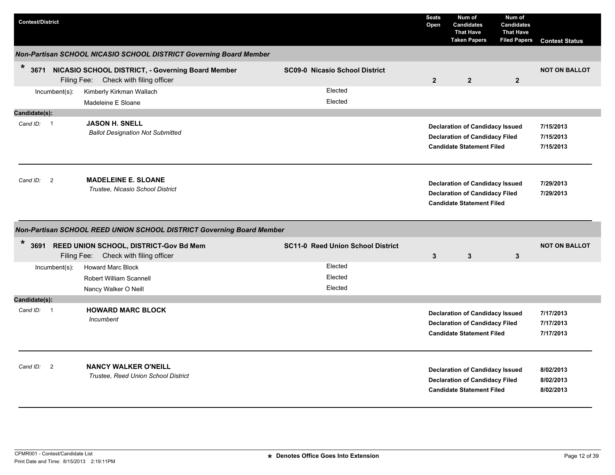| <b>Contest/District</b>                |                                                                                                 |                                          | <b>Seats</b><br>Open | Num of<br><b>Candidates</b><br><b>That Have</b><br><b>Taken Papers</b>                                              | Num of<br><b>Candidates</b><br><b>That Have</b><br><b>Filed Papers</b> | <b>Contest Status</b>               |
|----------------------------------------|-------------------------------------------------------------------------------------------------|------------------------------------------|----------------------|---------------------------------------------------------------------------------------------------------------------|------------------------------------------------------------------------|-------------------------------------|
|                                        | Non-Partisan SCHOOL NICASIO SCHOOL DISTRICT Governing Board Member                              |                                          |                      |                                                                                                                     |                                                                        |                                     |
| $\star$                                | 3671 NICASIO SCHOOL DISTRICT, - Governing Board Member<br>Filing Fee: Check with filing officer | <b>SC09-0 Nicasio School District</b>    | $\overline{2}$       | $\overline{2}$                                                                                                      | $\overline{2}$                                                         | <b>NOT ON BALLOT</b>                |
| $Incumbent(s)$ :                       | Kimberly Kirkman Wallach                                                                        | Elected                                  |                      |                                                                                                                     |                                                                        |                                     |
|                                        | Madeleine E Sloane                                                                              | Elected                                  |                      |                                                                                                                     |                                                                        |                                     |
| Candidate(s):                          |                                                                                                 |                                          |                      |                                                                                                                     |                                                                        |                                     |
| Cand ID: 1                             | <b>JASON H. SNELL</b><br><b>Ballot Designation Not Submitted</b>                                |                                          |                      | <b>Declaration of Candidacy Issued</b><br><b>Declaration of Candidacy Filed</b><br><b>Candidate Statement Filed</b> |                                                                        | 7/15/2013<br>7/15/2013<br>7/15/2013 |
| Cand ID:<br>$\overline{\phantom{0}}^2$ | <b>MADELEINE E. SLOANE</b><br>Trustee, Nicasio School District                                  |                                          |                      | <b>Declaration of Candidacy Issued</b><br><b>Declaration of Candidacy Filed</b><br><b>Candidate Statement Filed</b> |                                                                        | 7/29/2013<br>7/29/2013              |
|                                        | Non-Partisan SCHOOL REED UNION SCHOOL DISTRICT Governing Board Member                           |                                          |                      |                                                                                                                     |                                                                        |                                     |
| *                                      | 3691 REED UNION SCHOOL, DISTRICT-Gov Bd Mem<br>Filing Fee: Check with filing officer            | <b>SC11-0 Reed Union School District</b> | $\mathbf{3}$         | $\mathbf{3}$                                                                                                        | 3                                                                      | <b>NOT ON BALLOT</b>                |
| Incumbent(s):                          | <b>Howard Marc Block</b>                                                                        | Elected                                  |                      |                                                                                                                     |                                                                        |                                     |
|                                        | <b>Robert William Scannell</b>                                                                  | Elected                                  |                      |                                                                                                                     |                                                                        |                                     |
|                                        | Nancy Walker O Neill                                                                            | Elected                                  |                      |                                                                                                                     |                                                                        |                                     |
| Candidate(s):                          |                                                                                                 |                                          |                      |                                                                                                                     |                                                                        |                                     |
| Cand ID: 1                             | <b>HOWARD MARC BLOCK</b><br>Incumbent                                                           |                                          |                      | <b>Declaration of Candidacy Issued</b><br><b>Declaration of Candidacy Filed</b><br><b>Candidate Statement Filed</b> |                                                                        | 7/17/2013<br>7/17/2013<br>7/17/2013 |
| Cand ID: 2                             | <b>NANCY WALKER O'NEILL</b><br>Trustee, Reed Union School District                              |                                          |                      | <b>Declaration of Candidacy Issued</b><br><b>Declaration of Candidacy Filed</b><br><b>Candidate Statement Filed</b> |                                                                        | 8/02/2013<br>8/02/2013<br>8/02/2013 |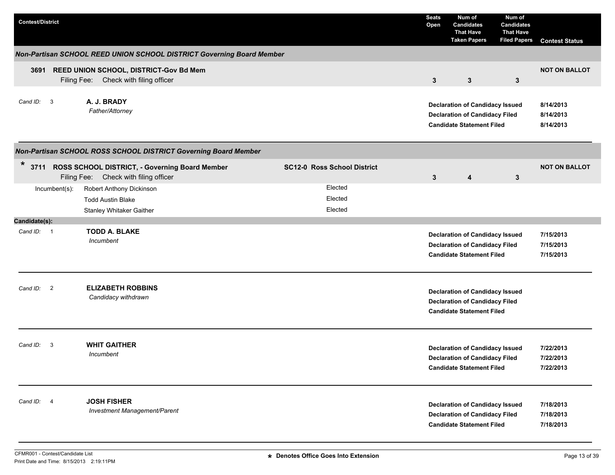| <b>Contest/District</b>     |                                                                                              |                                    | <b>Seats</b><br>Open | Num of<br><b>Candidates</b><br><b>That Have</b><br><b>Taken Papers</b>                                              | Num of<br><b>Candidates</b><br><b>That Have</b><br><b>Filed Papers</b> | <b>Contest Status</b>               |
|-----------------------------|----------------------------------------------------------------------------------------------|------------------------------------|----------------------|---------------------------------------------------------------------------------------------------------------------|------------------------------------------------------------------------|-------------------------------------|
|                             | Non-Partisan SCHOOL REED UNION SCHOOL DISTRICT Governing Board Member                        |                                    |                      |                                                                                                                     |                                                                        |                                     |
|                             | 3691 REED UNION SCHOOL, DISTRICT-Gov Bd Mem<br>Filing Fee: Check with filing officer         |                                    | $\mathbf{3}$         | $\mathbf{3}$                                                                                                        | $\mathbf{3}$                                                           | <b>NOT ON BALLOT</b>                |
| Cand ID: 3                  | A. J. BRADY<br>Father/Attorney                                                               |                                    |                      | <b>Declaration of Candidacy Issued</b><br><b>Declaration of Candidacy Filed</b><br><b>Candidate Statement Filed</b> |                                                                        | 8/14/2013<br>8/14/2013<br>8/14/2013 |
|                             | Non-Partisan SCHOOL ROSS SCHOOL DISTRICT Governing Board Member                              |                                    |                      |                                                                                                                     |                                                                        |                                     |
| $\ast$                      | 3711 ROSS SCHOOL DISTRICT, - Governing Board Member<br>Filing Fee: Check with filing officer | <b>SC12-0 Ross School District</b> | $\mathbf{3}$         | 4                                                                                                                   | $\mathbf{3}$                                                           | <b>NOT ON BALLOT</b>                |
| Incumbent(s):               | Robert Anthony Dickinson                                                                     | Elected                            |                      |                                                                                                                     |                                                                        |                                     |
|                             | <b>Todd Austin Blake</b>                                                                     | Elected                            |                      |                                                                                                                     |                                                                        |                                     |
|                             | Stanley Whitaker Gaither                                                                     | Elected                            |                      |                                                                                                                     |                                                                        |                                     |
| Candidate(s):<br>Cand ID: 1 | <b>TODD A. BLAKE</b><br><i><u><b>Incumbent</b></u></i>                                       |                                    |                      | <b>Declaration of Candidacy Issued</b><br><b>Declaration of Candidacy Filed</b><br><b>Candidate Statement Filed</b> |                                                                        | 7/15/2013<br>7/15/2013<br>7/15/2013 |
| Cand ID:<br>$\overline{2}$  | <b>ELIZABETH ROBBINS</b><br>Candidacy withdrawn                                              |                                    |                      | <b>Declaration of Candidacy Issued</b><br><b>Declaration of Candidacy Filed</b><br><b>Candidate Statement Filed</b> |                                                                        |                                     |
| Cand ID:<br>3               | <b>WHIT GAITHER</b><br>Incumbent                                                             |                                    |                      | <b>Declaration of Candidacy Issued</b><br><b>Declaration of Candidacy Filed</b><br><b>Candidate Statement Filed</b> |                                                                        | 7/22/2013<br>7/22/2013<br>7/22/2013 |
| Cand ID: 4                  | <b>JOSH FISHER</b><br>Investment Management/Parent                                           |                                    |                      | <b>Declaration of Candidacy Issued</b><br><b>Declaration of Candidacy Filed</b><br><b>Candidate Statement Filed</b> |                                                                        | 7/18/2013<br>7/18/2013<br>7/18/2013 |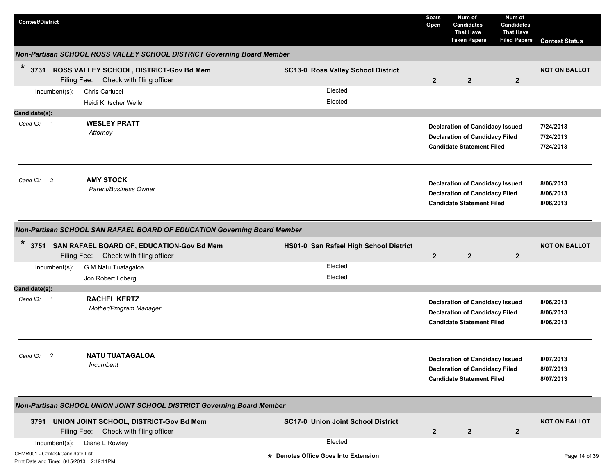| <b>Contest/District</b>                                                      |                                                                                                                                                                     |                                           | <b>Seats</b><br>Open | Num of<br><b>Candidates</b><br><b>That Have</b><br><b>Taken Papers</b>                                              | Num of<br><b>Candidates</b><br><b>That Have</b><br><b>Filed Papers</b> | <b>Contest Status</b>               |
|------------------------------------------------------------------------------|---------------------------------------------------------------------------------------------------------------------------------------------------------------------|-------------------------------------------|----------------------|---------------------------------------------------------------------------------------------------------------------|------------------------------------------------------------------------|-------------------------------------|
|                                                                              | Non-Partisan SCHOOL ROSS VALLEY SCHOOL DISTRICT Governing Board Member                                                                                              |                                           |                      |                                                                                                                     |                                                                        |                                     |
| $\ast$                                                                       | 3731 ROSS VALLEY SCHOOL, DISTRICT-Gov Bd Mem<br>Filing Fee: Check with filing officer                                                                               | <b>SC13-0 Ross Valley School District</b> | $\overline{2}$       | $\overline{2}$                                                                                                      | $\overline{2}$                                                         | <b>NOT ON BALLOT</b>                |
| Incumbent(s):                                                                | Chris Carlucci<br>Heidi Kritscher Weller                                                                                                                            | Elected<br>Elected                        |                      |                                                                                                                     |                                                                        |                                     |
| Candidate(s):                                                                |                                                                                                                                                                     |                                           |                      |                                                                                                                     |                                                                        |                                     |
| Cand ID: 1                                                                   | <b>WESLEY PRATT</b><br>Attorney                                                                                                                                     |                                           |                      | <b>Declaration of Candidacy Issued</b><br><b>Declaration of Candidacy Filed</b><br><b>Candidate Statement Filed</b> |                                                                        | 7/24/2013<br>7/24/2013<br>7/24/2013 |
| $\overline{2}$<br>Cand ID:                                                   | <b>AMY STOCK</b><br>Parent/Business Owner                                                                                                                           |                                           |                      | <b>Declaration of Candidacy Issued</b><br><b>Declaration of Candidacy Filed</b><br><b>Candidate Statement Filed</b> |                                                                        | 8/06/2013<br>8/06/2013<br>8/06/2013 |
| $\ast$                                                                       | Non-Partisan SCHOOL SAN RAFAEL BOARD OF EDUCATION Governing Board Member<br>3751 SAN RAFAEL BOARD OF, EDUCATION-Gov Bd Mem<br>Filing Fee: Check with filing officer | HS01-0 San Rafael High School District    | $\overline{2}$       | $\overline{2}$                                                                                                      | $\overline{2}$                                                         | <b>NOT ON BALLOT</b>                |
| $Incumbent(s)$ :                                                             | G M Natu Tuatagaloa<br>Jon Robert Loberg                                                                                                                            | Elected<br>Elected                        |                      |                                                                                                                     |                                                                        |                                     |
| Candidate(s):                                                                |                                                                                                                                                                     |                                           |                      |                                                                                                                     |                                                                        |                                     |
| Cand ID: 1                                                                   | <b>RACHEL KERTZ</b><br>Mother/Program Manager                                                                                                                       |                                           |                      | <b>Declaration of Candidacy Issued</b><br><b>Declaration of Candidacy Filed</b><br><b>Candidate Statement Filed</b> |                                                                        | 8/06/2013<br>8/06/2013<br>8/06/2013 |
| Cand ID:<br>$\overline{2}$                                                   | <b>NATU TUATAGALOA</b><br><i><b>Incumbent</b></i>                                                                                                                   |                                           |                      | <b>Declaration of Candidacy Issued</b><br><b>Declaration of Candidacy Filed</b><br><b>Candidate Statement Filed</b> |                                                                        | 8/07/2013<br>8/07/2013<br>8/07/2013 |
|                                                                              | Non-Partisan SCHOOL UNION JOINT SCHOOL DISTRICT Governing Board Member                                                                                              |                                           |                      |                                                                                                                     |                                                                        |                                     |
|                                                                              | 3791 UNION JOINT SCHOOL, DISTRICT-Gov Bd Mem<br>Filing Fee: Check with filing officer                                                                               | <b>SC17-0 Union Joint School District</b> | $\mathbf{2}$         | $\mathbf{2}$                                                                                                        | $\mathbf{2}$                                                           | <b>NOT ON BALLOT</b>                |
| Incumbent(s):                                                                | Diane L Rowley                                                                                                                                                      | Elected                                   |                      |                                                                                                                     |                                                                        |                                     |
| CFMR001 - Contest/Candidate List<br>Print Date and Time: 8/15/2013 2:19:11PM |                                                                                                                                                                     | * Denotes Office Goes Into Extension      |                      |                                                                                                                     |                                                                        | Page 14 of 39                       |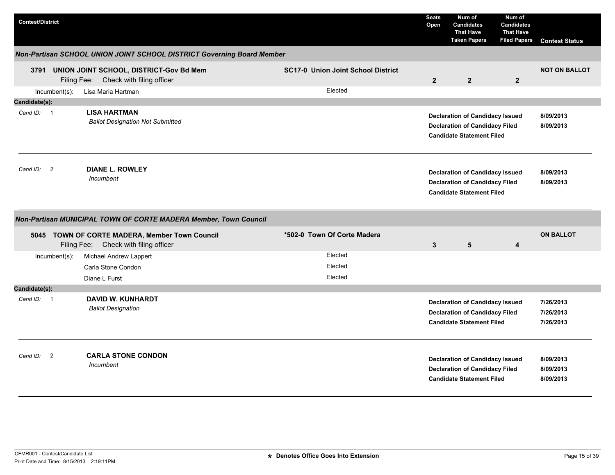| <b>Contest/District</b> |                                                                                         |                                           | <b>Seats</b><br>Open | Num of<br><b>Candidates</b><br><b>That Have</b><br><b>Taken Papers</b>                                              | Num of<br><b>Candidates</b><br><b>That Have</b><br><b>Filed Papers</b> | <b>Contest Status</b>               |
|-------------------------|-----------------------------------------------------------------------------------------|-------------------------------------------|----------------------|---------------------------------------------------------------------------------------------------------------------|------------------------------------------------------------------------|-------------------------------------|
|                         | Non-Partisan SCHOOL UNION JOINT SCHOOL DISTRICT Governing Board Member                  |                                           |                      |                                                                                                                     |                                                                        |                                     |
| 3791                    | UNION JOINT SCHOOL, DISTRICT-Gov Bd Mem<br>Check with filing officer<br>Filing Fee:     | <b>SC17-0 Union Joint School District</b> | $\mathbf{2}$         | $\overline{2}$                                                                                                      | $\overline{2}$                                                         | <b>NOT ON BALLOT</b>                |
| Incumbent(s):           | Lisa Maria Hartman                                                                      | Elected                                   |                      |                                                                                                                     |                                                                        |                                     |
| Candidate(s):           |                                                                                         |                                           |                      |                                                                                                                     |                                                                        |                                     |
| Cand ID: 1              | <b>LISA HARTMAN</b><br><b>Ballot Designation Not Submitted</b>                          |                                           |                      | <b>Declaration of Candidacy Issued</b><br><b>Declaration of Candidacy Filed</b><br><b>Candidate Statement Filed</b> |                                                                        | 8/09/2013<br>8/09/2013              |
| Cand ID: 2              | <b>DIANE L. ROWLEY</b><br>Incumbent                                                     |                                           |                      | <b>Declaration of Candidacy Issued</b><br><b>Declaration of Candidacy Filed</b><br><b>Candidate Statement Filed</b> |                                                                        | 8/09/2013<br>8/09/2013              |
|                         | Non-Partisan MUNICIPAL TOWN OF CORTE MADERA Member, Town Council                        |                                           |                      |                                                                                                                     |                                                                        |                                     |
|                         | 5045 TOWN OF CORTE MADERA, Member Town Council<br>Filing Fee: Check with filing officer | *502-0 Town Of Corte Madera               | 3                    | 5                                                                                                                   | 4                                                                      | <b>ON BALLOT</b>                    |
| $Incumbent(s)$ :        | Michael Andrew Lappert                                                                  | Elected                                   |                      |                                                                                                                     |                                                                        |                                     |
|                         | Carla Stone Condon                                                                      | Elected                                   |                      |                                                                                                                     |                                                                        |                                     |
|                         | Diane L Furst                                                                           | Elected                                   |                      |                                                                                                                     |                                                                        |                                     |
| Candidate(s):           |                                                                                         |                                           |                      |                                                                                                                     |                                                                        |                                     |
| Cand ID: 1              | <b>DAVID W. KUNHARDT</b><br><b>Ballot Designation</b>                                   |                                           |                      | <b>Declaration of Candidacy Issued</b><br><b>Declaration of Candidacy Filed</b><br><b>Candidate Statement Filed</b> |                                                                        | 7/26/2013<br>7/26/2013<br>7/26/2013 |
| Cand ID: 2              | <b>CARLA STONE CONDON</b><br>Incumbent                                                  |                                           |                      | <b>Declaration of Candidacy Issued</b><br><b>Declaration of Candidacy Filed</b><br><b>Candidate Statement Filed</b> |                                                                        | 8/09/2013<br>8/09/2013<br>8/09/2013 |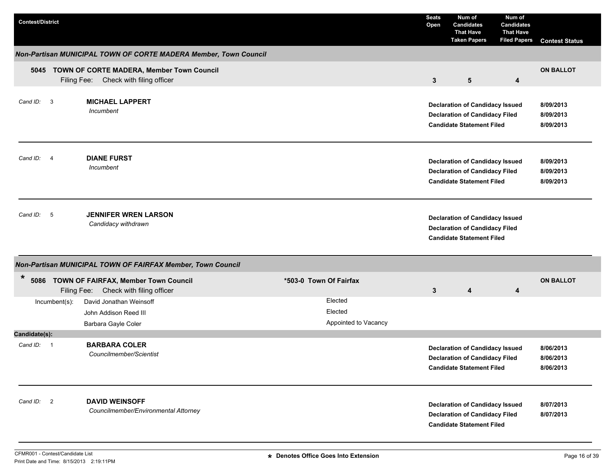| <b>Contest/District</b>    |                                                                                         |                                            | <b>Seats</b><br>Open | Num of<br><b>Candidates</b><br><b>That Have</b><br><b>Taken Papers</b>                                              | Num of<br><b>Candidates</b><br><b>That Have</b><br><b>Filed Papers</b> | <b>Contest Status</b>               |
|----------------------------|-----------------------------------------------------------------------------------------|--------------------------------------------|----------------------|---------------------------------------------------------------------------------------------------------------------|------------------------------------------------------------------------|-------------------------------------|
|                            | Non-Partisan MUNICIPAL TOWN OF CORTE MADERA Member, Town Council                        |                                            |                      |                                                                                                                     |                                                                        |                                     |
| 5045                       | TOWN OF CORTE MADERA, Member Town Council<br>Filing Fee: Check with filing officer      |                                            | 3                    | $5\phantom{.0}$                                                                                                     | 4                                                                      | <b>ON BALLOT</b>                    |
| Cand ID: 3                 | <b>MICHAEL LAPPERT</b><br>Incumbent                                                     |                                            |                      | <b>Declaration of Candidacy Issued</b><br><b>Declaration of Candidacy Filed</b><br><b>Candidate Statement Filed</b> |                                                                        | 8/09/2013<br>8/09/2013<br>8/09/2013 |
| Cand ID:<br>$\overline{4}$ | <b>DIANE FURST</b><br>Incumbent                                                         |                                            |                      | <b>Declaration of Candidacy Issued</b><br><b>Declaration of Candidacy Filed</b><br><b>Candidate Statement Filed</b> |                                                                        | 8/09/2013<br>8/09/2013<br>8/09/2013 |
| Cand ID: 5                 | <b>JENNIFER WREN LARSON</b><br>Candidacy withdrawn                                      |                                            |                      | <b>Declaration of Candidacy Issued</b><br><b>Declaration of Candidacy Filed</b><br><b>Candidate Statement Filed</b> |                                                                        |                                     |
|                            | Non-Partisan MUNICIPAL TOWN OF FAIRFAX Member, Town Council                             |                                            |                      |                                                                                                                     |                                                                        |                                     |
| *<br>5086                  | <b>TOWN OF FAIRFAX, Member Town Council</b><br>Filing Fee:<br>Check with filing officer | *503-0 Town Of Fairfax                     | 3                    | 4                                                                                                                   | 4                                                                      | <b>ON BALLOT</b>                    |
| $Incumbent(s)$ :           | David Jonathan Weinsoff<br>John Addison Reed III<br>Barbara Gayle Coler                 | Elected<br>Elected<br>Appointed to Vacancy |                      |                                                                                                                     |                                                                        |                                     |
| Candidate(s):              |                                                                                         |                                            |                      |                                                                                                                     |                                                                        |                                     |
| Cand ID: 1                 | <b>BARBARA COLER</b><br>Councilmember/Scientist                                         |                                            |                      | <b>Declaration of Candidacy Issued</b><br><b>Declaration of Candidacy Filed</b><br><b>Candidate Statement Filed</b> |                                                                        | 8/06/2013<br>8/06/2013<br>8/06/2013 |
| Cand ID: 2                 | <b>DAVID WEINSOFF</b><br>Councilmember/Environmental Attorney                           |                                            |                      | <b>Declaration of Candidacy Issued</b><br><b>Declaration of Candidacy Filed</b><br><b>Candidate Statement Filed</b> |                                                                        | 8/07/2013<br>8/07/2013              |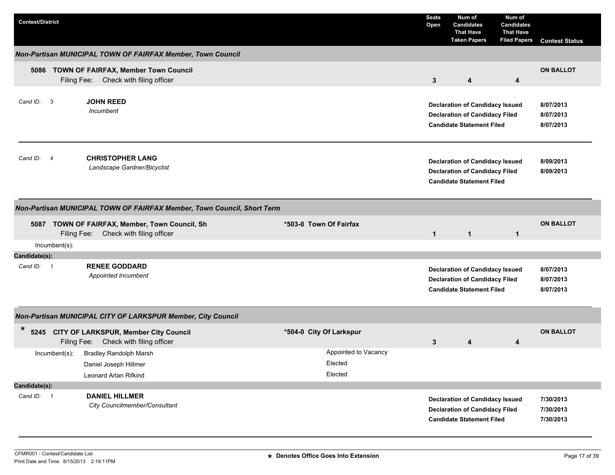| <b>Contest/District</b>             |                |                                                                                         |                        |                                            | <b>Seats</b><br>Open | Num of<br><b>Candidates</b><br><b>That Have</b><br><b>Taken Papers</b>                                              | Num of<br><b>Candidates</b><br><b>That Have</b><br><b>Filed Papers</b> | <b>Contest Status</b>               |
|-------------------------------------|----------------|-----------------------------------------------------------------------------------------|------------------------|--------------------------------------------|----------------------|---------------------------------------------------------------------------------------------------------------------|------------------------------------------------------------------------|-------------------------------------|
|                                     |                | Non-Partisan MUNICIPAL TOWN OF FAIRFAX Member, Town Council                             |                        |                                            |                      |                                                                                                                     |                                                                        |                                     |
|                                     |                | 5086 TOWN OF FAIRFAX, Member Town Council<br>Filing Fee: Check with filing officer      |                        |                                            | 3                    | $\overline{\mathbf{4}}$                                                                                             | 4                                                                      | <b>ON BALLOT</b>                    |
| Cand ID:<br>$\overline{\mathbf{3}}$ |                | <b>JOHN REED</b><br>Incumbent                                                           |                        |                                            |                      | <b>Declaration of Candidacy Issued</b><br><b>Declaration of Candidacy Filed</b><br><b>Candidate Statement Filed</b> |                                                                        | 8/07/2013<br>8/07/2013<br>8/07/2013 |
| Cand ID:                            | $\overline{4}$ | <b>CHRISTOPHER LANG</b><br>Landscape Gardner/Bicyclist                                  |                        |                                            |                      | <b>Declaration of Candidacy Issued</b><br><b>Declaration of Candidacy Filed</b><br><b>Candidate Statement Filed</b> |                                                                        | 8/09/2013<br>8/09/2013              |
|                                     |                | Non-Partisan MUNICIPAL TOWN OF FAIRFAX Member, Town Council, Short Term                 |                        |                                            |                      |                                                                                                                     |                                                                        |                                     |
|                                     |                | 5087 TOWN OF FAIRFAX, Member, Town Council, Sh<br>Filing Fee: Check with filing officer | *503-0 Town Of Fairfax |                                            | $\mathbf{1}$         | $\mathbf{1}$                                                                                                        | $\mathbf{1}$                                                           | <b>ON BALLOT</b>                    |
|                                     | Incumbent(s):  |                                                                                         |                        |                                            |                      |                                                                                                                     |                                                                        |                                     |
| Candidate(s):                       |                |                                                                                         |                        |                                            |                      |                                                                                                                     |                                                                        |                                     |
| Cand ID: 1                          |                | <b>RENEE GODDARD</b><br>Appointed Incumbent                                             |                        |                                            |                      | <b>Declaration of Candidacy Issued</b><br><b>Declaration of Candidacy Filed</b><br><b>Candidate Statement Filed</b> |                                                                        | 8/07/2013<br>8/07/2013<br>8/07/2013 |
|                                     |                | Non-Partisan MUNICIPAL CITY OF LARKSPUR Member, City Council                            |                        |                                            |                      |                                                                                                                     |                                                                        |                                     |
| $\star$                             |                | 5245 CITY OF LARKSPUR, Member City Council<br>Filing Fee: Check with filing officer     |                        | *504-0 City Of Larkspur                    | 3                    | 4                                                                                                                   | 4                                                                      | <b>ON BALLOT</b>                    |
|                                     | Incumbent(s):  | <b>Bradley Randolph Marsh</b><br>Daniel Joseph Hillmer<br>Leonard Arlan Rifkind         |                        | Appointed to Vacancy<br>Elected<br>Elected |                      |                                                                                                                     |                                                                        |                                     |
| Candidate(s):                       |                |                                                                                         |                        |                                            |                      |                                                                                                                     |                                                                        |                                     |
| Cand ID: 1                          |                | <b>DANIEL HILLMER</b><br>City Councilmember/Consultant                                  |                        |                                            |                      | <b>Declaration of Candidacy Issued</b><br><b>Declaration of Candidacy Filed</b><br><b>Candidate Statement Filed</b> |                                                                        | 7/30/2013<br>7/30/2013<br>7/30/2013 |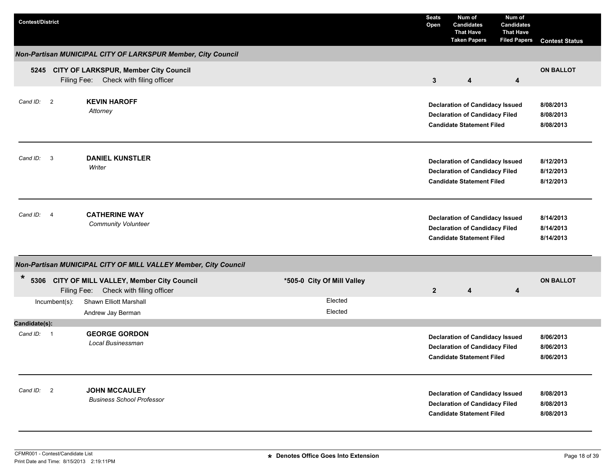| <b>Contest/District</b>     |                                                                                        |                            | <b>Seats</b><br>Open | Num of<br><b>Candidates</b><br><b>That Have</b><br><b>Taken Papers</b>                                              | Num of<br><b>Candidates</b><br><b>That Have</b><br><b>Filed Papers</b> | <b>Contest Status</b>               |
|-----------------------------|----------------------------------------------------------------------------------------|----------------------------|----------------------|---------------------------------------------------------------------------------------------------------------------|------------------------------------------------------------------------|-------------------------------------|
|                             | Non-Partisan MUNICIPAL CITY OF LARKSPUR Member, City Council                           |                            |                      |                                                                                                                     |                                                                        |                                     |
|                             | 5245 CITY OF LARKSPUR, Member City Council<br>Filing Fee: Check with filing officer    |                            | $\mathbf{3}$         | 4                                                                                                                   | 4                                                                      | <b>ON BALLOT</b>                    |
| Cand ID: 2                  | <b>KEVIN HAROFF</b><br>Attorney                                                        |                            |                      | <b>Declaration of Candidacy Issued</b><br><b>Declaration of Candidacy Filed</b><br><b>Candidate Statement Filed</b> |                                                                        | 8/08/2013<br>8/08/2013<br>8/08/2013 |
| Cand ID: 3                  | <b>DANIEL KUNSTLER</b><br>Writer                                                       |                            |                      | <b>Declaration of Candidacy Issued</b><br><b>Declaration of Candidacy Filed</b><br><b>Candidate Statement Filed</b> |                                                                        | 8/12/2013<br>8/12/2013<br>8/12/2013 |
| Cand ID: 4                  | <b>CATHERINE WAY</b><br><b>Community Volunteer</b>                                     |                            |                      | <b>Declaration of Candidacy Issued</b><br><b>Declaration of Candidacy Filed</b><br><b>Candidate Statement Filed</b> |                                                                        | 8/14/2013<br>8/14/2013<br>8/14/2013 |
|                             | Non-Partisan MUNICIPAL CITY OF MILL VALLEY Member, City Council                        |                            |                      |                                                                                                                     |                                                                        |                                     |
| *                           | 5306 CITY OF MILL VALLEY, Member City Council<br>Filing Fee: Check with filing officer | *505-0 City Of Mill Valley | $\mathbf{2}$         | 4                                                                                                                   | 4                                                                      | <b>ON BALLOT</b>                    |
| Incumbent(s):               | Shawn Elliott Marshall<br>Andrew Jay Berman                                            | Elected<br>Elected         |                      |                                                                                                                     |                                                                        |                                     |
| Candidate(s):<br>Cand ID: 1 | <b>GEORGE GORDON</b><br>Local Businessman                                              |                            |                      | <b>Declaration of Candidacy Issued</b><br><b>Declaration of Candidacy Filed</b><br><b>Candidate Statement Filed</b> |                                                                        | 8/06/2013<br>8/06/2013<br>8/06/2013 |
| Cand ID: 2                  | <b>JOHN MCCAULEY</b><br><b>Business School Professor</b>                               |                            |                      | <b>Declaration of Candidacy Issued</b><br><b>Declaration of Candidacy Filed</b><br><b>Candidate Statement Filed</b> |                                                                        | 8/08/2013<br>8/08/2013<br>8/08/2013 |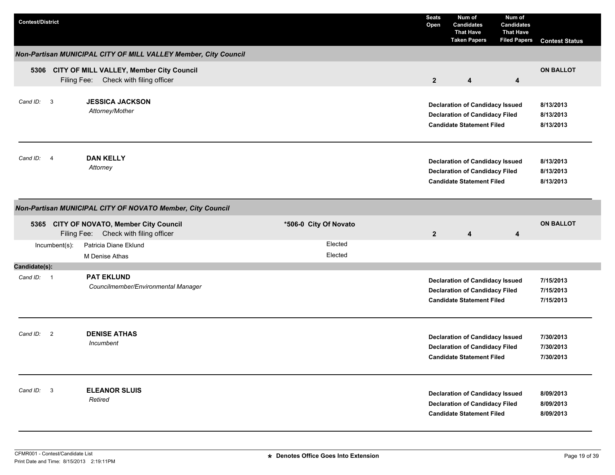| <b>Contest/District</b> |                                                                                        |                       | <b>Seats</b><br>Open | Num of<br><b>Candidates</b><br><b>That Have</b><br><b>Taken Papers</b>                                              | Num of<br><b>Candidates</b><br><b>That Have</b><br><b>Filed Papers</b> | <b>Contest Status</b>               |
|-------------------------|----------------------------------------------------------------------------------------|-----------------------|----------------------|---------------------------------------------------------------------------------------------------------------------|------------------------------------------------------------------------|-------------------------------------|
|                         | Non-Partisan MUNICIPAL CITY OF MILL VALLEY Member, City Council                        |                       |                      |                                                                                                                     |                                                                        |                                     |
|                         | 5306 CITY OF MILL VALLEY, Member City Council<br>Filing Fee: Check with filing officer |                       | $2^{\circ}$          | $\boldsymbol{4}$                                                                                                    | 4                                                                      | <b>ON BALLOT</b>                    |
| Cand ID: 3              | <b>JESSICA JACKSON</b><br>Attorney/Mother                                              |                       |                      | <b>Declaration of Candidacy Issued</b><br><b>Declaration of Candidacy Filed</b><br><b>Candidate Statement Filed</b> |                                                                        | 8/13/2013<br>8/13/2013<br>8/13/2013 |
| Cand ID: 4              | <b>DAN KELLY</b><br>Attorney                                                           |                       |                      | <b>Declaration of Candidacy Issued</b><br><b>Declaration of Candidacy Filed</b><br><b>Candidate Statement Filed</b> |                                                                        | 8/13/2013<br>8/13/2013<br>8/13/2013 |
|                         | Non-Partisan MUNICIPAL CITY OF NOVATO Member, City Council                             |                       |                      |                                                                                                                     |                                                                        |                                     |
|                         | 5365 CITY OF NOVATO, Member City Council<br>Filing Fee: Check with filing officer      | *506-0 City Of Novato | $\overline{2}$       | 4                                                                                                                   | 4                                                                      | <b>ON BALLOT</b>                    |
| Incumbent(s):           | Patricia Diane Eklund<br>M Denise Athas                                                | Elected<br>Elected    |                      |                                                                                                                     |                                                                        |                                     |
| Candidate(s):           |                                                                                        |                       |                      |                                                                                                                     |                                                                        |                                     |
| Cand ID: 1              | <b>PAT EKLUND</b><br>Councilmember/Environmental Manager                               |                       |                      | <b>Declaration of Candidacy Issued</b><br><b>Declaration of Candidacy Filed</b><br><b>Candidate Statement Filed</b> |                                                                        | 7/15/2013<br>7/15/2013<br>7/15/2013 |
| Cand ID: 2              | <b>DENISE ATHAS</b><br>Incumbent                                                       |                       |                      | <b>Declaration of Candidacy Issued</b><br><b>Declaration of Candidacy Filed</b><br><b>Candidate Statement Filed</b> |                                                                        | 7/30/2013<br>7/30/2013<br>7/30/2013 |
| Cand ID: 3              | <b>ELEANOR SLUIS</b><br>Retired                                                        |                       |                      | <b>Declaration of Candidacy Issued</b><br><b>Declaration of Candidacy Filed</b><br><b>Candidate Statement Filed</b> |                                                                        | 8/09/2013<br>8/09/2013<br>8/09/2013 |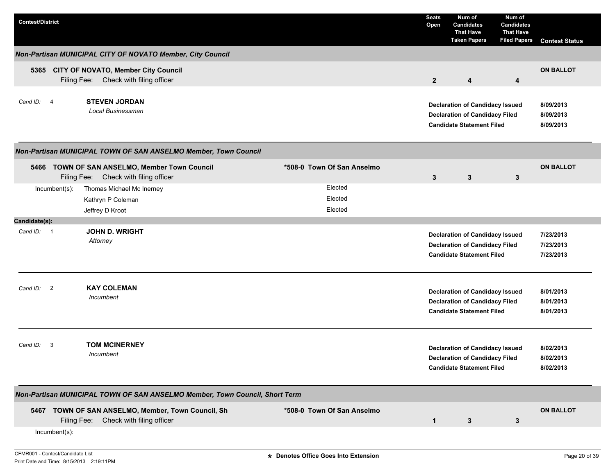| <b>Contest/District</b> |                  |                                                                                             |                            | <b>Seats</b><br>Open | Num of<br><b>Candidates</b><br><b>That Have</b><br><b>Taken Papers</b>                                              | Num of<br><b>Candidates</b><br><b>That Have</b><br><b>Filed Papers</b> | <b>Contest Status</b>               |
|-------------------------|------------------|---------------------------------------------------------------------------------------------|----------------------------|----------------------|---------------------------------------------------------------------------------------------------------------------|------------------------------------------------------------------------|-------------------------------------|
|                         |                  | Non-Partisan MUNICIPAL CITY OF NOVATO Member, City Council                                  |                            |                      |                                                                                                                     |                                                                        |                                     |
|                         |                  | 5365 CITY OF NOVATO, Member City Council<br>Filing Fee: Check with filing officer           |                            | $\mathbf{2}$         | 4                                                                                                                   | 4                                                                      | <b>ON BALLOT</b>                    |
| Cand ID: 4              |                  | <b>STEVEN JORDAN</b><br><b>Local Businessman</b>                                            |                            |                      | <b>Declaration of Candidacy Issued</b><br><b>Declaration of Candidacy Filed</b><br><b>Candidate Statement Filed</b> |                                                                        | 8/09/2013<br>8/09/2013<br>8/09/2013 |
|                         |                  | Non-Partisan MUNICIPAL TOWN OF SAN ANSELMO Member, Town Council                             |                            |                      |                                                                                                                     |                                                                        |                                     |
|                         |                  | 5466 TOWN OF SAN ANSELMO, Member Town Council<br>Filing Fee: Check with filing officer      | *508-0 Town Of San Anselmo | 3                    | 3                                                                                                                   | $\mathbf{3}$                                                           | <b>ON BALLOT</b>                    |
|                         | $Incumbent(s)$ : | Thomas Michael Mc Inerney                                                                   | Elected                    |                      |                                                                                                                     |                                                                        |                                     |
|                         |                  | Kathryn P Coleman                                                                           | Elected                    |                      |                                                                                                                     |                                                                        |                                     |
|                         |                  | Jeffrey D Kroot                                                                             | Elected                    |                      |                                                                                                                     |                                                                        |                                     |
| Candidate(s):           |                  |                                                                                             |                            |                      |                                                                                                                     |                                                                        |                                     |
| Cand ID: 1              |                  | <b>JOHN D. WRIGHT</b><br>Attorney                                                           |                            |                      | <b>Declaration of Candidacy Issued</b><br><b>Declaration of Candidacy Filed</b><br><b>Candidate Statement Filed</b> |                                                                        | 7/23/2013<br>7/23/2013<br>7/23/2013 |
| Cand ID:                | $\overline{2}$   | <b>KAY COLEMAN</b><br>Incumbent                                                             |                            |                      | <b>Declaration of Candidacy Issued</b><br><b>Declaration of Candidacy Filed</b><br><b>Candidate Statement Filed</b> |                                                                        | 8/01/2013<br>8/01/2013<br>8/01/2013 |
| Cand ID:                | -3               | <b>TOM MCINERNEY</b><br>Incumbent                                                           |                            |                      | <b>Declaration of Candidacy Issued</b><br><b>Declaration of Candidacy Filed</b><br><b>Candidate Statement Filed</b> |                                                                        | 8/02/2013<br>8/02/2013<br>8/02/2013 |
|                         |                  | Non-Partisan MUNICIPAL TOWN OF SAN ANSELMO Member, Town Council, Short Term                 |                            |                      |                                                                                                                     |                                                                        |                                     |
|                         |                  | 5467 TOWN OF SAN ANSELMO, Member, Town Council, Sh<br>Filing Fee: Check with filing officer | *508-0 Town Of San Anselmo | $\mathbf{1}$         | $\mathbf{3}$                                                                                                        | 3                                                                      | <b>ON BALLOT</b>                    |
|                         | Incumbent(s):    |                                                                                             |                            |                      |                                                                                                                     |                                                                        |                                     |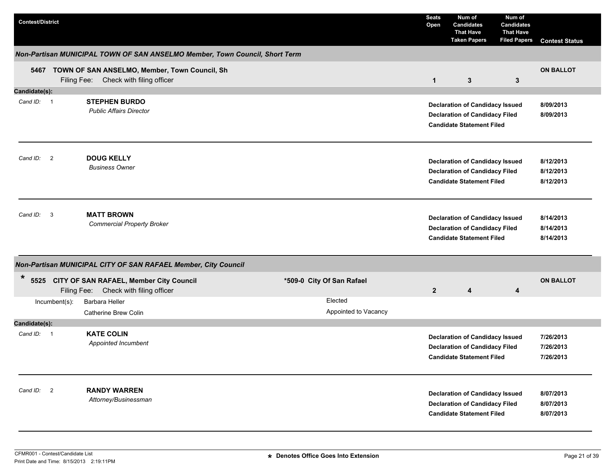| <b>Contest/District</b> |               |                                                                                             |                           | <b>Seats</b><br>Open | Num of<br><b>Candidates</b><br><b>That Have</b><br><b>Taken Papers</b>                                              | Num of<br><b>Candidates</b><br><b>That Have</b><br><b>Filed Papers</b> | <b>Contest Status</b>               |
|-------------------------|---------------|---------------------------------------------------------------------------------------------|---------------------------|----------------------|---------------------------------------------------------------------------------------------------------------------|------------------------------------------------------------------------|-------------------------------------|
|                         |               | Non-Partisan MUNICIPAL TOWN OF SAN ANSELMO Member, Town Council, Short Term                 |                           |                      |                                                                                                                     |                                                                        |                                     |
|                         |               | 5467 TOWN OF SAN ANSELMO, Member, Town Council, Sh<br>Filing Fee: Check with filing officer |                           | $\mathbf{1}$         | $\mathbf{3}$                                                                                                        | $\mathbf{3}$                                                           | <b>ON BALLOT</b>                    |
| Candidate(s):           |               |                                                                                             |                           |                      |                                                                                                                     |                                                                        |                                     |
| Cand ID: 1              |               | <b>STEPHEN BURDO</b><br><b>Public Affairs Director</b>                                      |                           |                      | <b>Declaration of Candidacy Issued</b><br><b>Declaration of Candidacy Filed</b><br><b>Candidate Statement Filed</b> |                                                                        | 8/09/2013<br>8/09/2013              |
| Cand ID: 2              |               | <b>DOUG KELLY</b><br><b>Business Owner</b>                                                  |                           |                      | <b>Declaration of Candidacy Issued</b><br><b>Declaration of Candidacy Filed</b><br><b>Candidate Statement Filed</b> |                                                                        | 8/12/2013<br>8/12/2013<br>8/12/2013 |
| Cand ID: 3              |               | <b>MATT BROWN</b><br><b>Commercial Property Broker</b>                                      |                           |                      | <b>Declaration of Candidacy Issued</b><br><b>Declaration of Candidacy Filed</b><br><b>Candidate Statement Filed</b> |                                                                        | 8/14/2013<br>8/14/2013<br>8/14/2013 |
|                         |               | Non-Partisan MUNICIPAL CITY OF SAN RAFAEL Member, City Council                              |                           |                      |                                                                                                                     |                                                                        |                                     |
| $\ast$                  |               | 5525 CITY OF SAN RAFAEL, Member City Council<br>Filing Fee: Check with filing officer       | *509-0 City Of San Rafael | $\overline{2}$       | 4                                                                                                                   | 4                                                                      | <b>ON BALLOT</b>                    |
|                         | Incumbent(s): | Barbara Heller                                                                              | Elected                   |                      |                                                                                                                     |                                                                        |                                     |
|                         |               | Catherine Brew Colin                                                                        | Appointed to Vacancy      |                      |                                                                                                                     |                                                                        |                                     |
| Candidate(s):           |               |                                                                                             |                           |                      |                                                                                                                     |                                                                        |                                     |
| Cand ID: 1              |               | <b>KATE COLIN</b><br>Appointed Incumbent                                                    |                           |                      | <b>Declaration of Candidacy Issued</b><br><b>Declaration of Candidacy Filed</b><br><b>Candidate Statement Filed</b> |                                                                        | 7/26/2013<br>7/26/2013<br>7/26/2013 |
| Cand ID: 2              |               | <b>RANDY WARREN</b><br>Attorney/Businessman                                                 |                           |                      | <b>Declaration of Candidacy Issued</b><br><b>Declaration of Candidacy Filed</b><br><b>Candidate Statement Filed</b> |                                                                        | 8/07/2013<br>8/07/2013<br>8/07/2013 |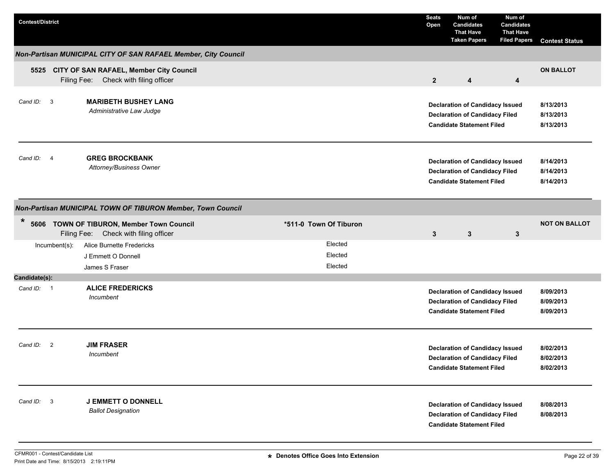| <b>Contest/District</b>    |                                                                                       |                               | <b>Seats</b><br>Open | Num of<br><b>Candidates</b><br><b>That Have</b><br><b>Taken Papers</b>                                              | Num of<br><b>Candidates</b><br><b>That Have</b><br><b>Filed Papers</b> | <b>Contest Status</b>               |
|----------------------------|---------------------------------------------------------------------------------------|-------------------------------|----------------------|---------------------------------------------------------------------------------------------------------------------|------------------------------------------------------------------------|-------------------------------------|
|                            | Non-Partisan MUNICIPAL CITY OF SAN RAFAEL Member, City Council                        |                               |                      |                                                                                                                     |                                                                        |                                     |
|                            | 5525 CITY OF SAN RAFAEL, Member City Council<br>Filing Fee: Check with filing officer |                               | 2 <sup>2</sup>       | 4                                                                                                                   | 4                                                                      | <b>ON BALLOT</b>                    |
| Cand ID: 3                 | <b>MARIBETH BUSHEY LANG</b><br>Administrative Law Judge                               |                               |                      | <b>Declaration of Candidacy Issued</b><br><b>Declaration of Candidacy Filed</b><br><b>Candidate Statement Filed</b> |                                                                        | 8/13/2013<br>8/13/2013<br>8/13/2013 |
| Cand ID: 4                 | <b>GREG BROCKBANK</b><br>Attorney/Business Owner                                      |                               |                      | <b>Declaration of Candidacy Issued</b><br><b>Declaration of Candidacy Filed</b><br><b>Candidate Statement Filed</b> |                                                                        | 8/14/2013<br>8/14/2013<br>8/14/2013 |
|                            | Non-Partisan MUNICIPAL TOWN OF TIBURON Member, Town Council                           |                               |                      |                                                                                                                     |                                                                        |                                     |
| $\ast$                     | 5606 TOWN OF TIBURON, Member Town Council<br>Filing Fee:<br>Check with filing officer | *511-0 Town Of Tiburon        | $3\phantom{.0}$      | 3                                                                                                                   | 3                                                                      | <b>NOT ON BALLOT</b>                |
| Incumbent(s):              | <b>Alice Burnette Fredericks</b><br>J Emmett O Donnell                                | Elected<br>Elected<br>Elected |                      |                                                                                                                     |                                                                        |                                     |
| Candidate(s):              | James S Fraser                                                                        |                               |                      |                                                                                                                     |                                                                        |                                     |
| Cand ID: 1                 | <b>ALICE FREDERICKS</b><br>Incumbent                                                  |                               |                      | <b>Declaration of Candidacy Issued</b><br><b>Declaration of Candidacy Filed</b><br><b>Candidate Statement Filed</b> |                                                                        | 8/09/2013<br>8/09/2013<br>8/09/2013 |
| Cand ID:<br>$\overline{2}$ | <b>JIM FRASER</b><br>Incumbent                                                        |                               |                      | <b>Declaration of Candidacy Issued</b><br><b>Declaration of Candidacy Filed</b><br><b>Candidate Statement Filed</b> |                                                                        | 8/02/2013<br>8/02/2013<br>8/02/2013 |
| Cand ID: 3                 | <b>J EMMETT O DONNELL</b><br><b>Ballot Designation</b>                                |                               |                      | <b>Declaration of Candidacy Issued</b><br><b>Declaration of Candidacy Filed</b><br><b>Candidate Statement Filed</b> |                                                                        | 8/08/2013<br>8/08/2013              |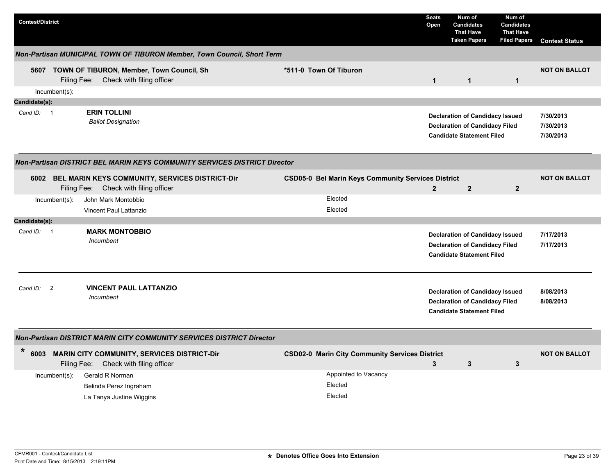| <b>Contest/District</b> |                  |                                                                                               |                                                           | <b>Seats</b><br>Open | Num of<br><b>Candidates</b><br><b>That Have</b><br><b>Taken Papers</b>                                              | Num of<br><b>Candidates</b><br><b>That Have</b><br><b>Filed Papers</b> | <b>Contest Status</b>               |
|-------------------------|------------------|-----------------------------------------------------------------------------------------------|-----------------------------------------------------------|----------------------|---------------------------------------------------------------------------------------------------------------------|------------------------------------------------------------------------|-------------------------------------|
|                         |                  | Non-Partisan MUNICIPAL TOWN OF TIBURON Member, Town Council, Short Term                       |                                                           |                      |                                                                                                                     |                                                                        |                                     |
|                         |                  | 5607 TOWN OF TIBURON, Member, Town Council, Sh<br>Filing Fee: Check with filing officer       | *511-0 Town Of Tiburon                                    | $\mathbf{1}$         | $\mathbf{1}$                                                                                                        | $\mathbf{1}$                                                           | <b>NOT ON BALLOT</b>                |
|                         | $Incumbent(s)$ : |                                                                                               |                                                           |                      |                                                                                                                     |                                                                        |                                     |
| Candidate(s):           |                  |                                                                                               |                                                           |                      |                                                                                                                     |                                                                        |                                     |
| Cand ID: 1              |                  | <b>ERIN TOLLINI</b><br><b>Ballot Designation</b>                                              |                                                           |                      | <b>Declaration of Candidacy Issued</b><br><b>Declaration of Candidacy Filed</b><br><b>Candidate Statement Filed</b> |                                                                        | 7/30/2013<br>7/30/2013<br>7/30/2013 |
|                         |                  | <b>Non-Partisan DISTRICT BEL MARIN KEYS COMMUNITY SERVICES DISTRICT Director</b>              |                                                           |                      |                                                                                                                     |                                                                        |                                     |
|                         |                  | 6002 BEL MARIN KEYS COMMUNITY, SERVICES DISTRICT-Dir<br>Filing Fee: Check with filing officer | <b>CSD05-0 Bel Marin Keys Community Services District</b> | $\overline{2}$       | $\overline{2}$                                                                                                      | $\overline{2}$                                                         | <b>NOT ON BALLOT</b>                |
|                         | $Incumbent(s)$ : | John Mark Montobbio                                                                           | Elected                                                   |                      |                                                                                                                     |                                                                        |                                     |
|                         |                  | Vincent Paul Lattanzio                                                                        | Elected                                                   |                      |                                                                                                                     |                                                                        |                                     |
| Candidate(s):           |                  |                                                                                               |                                                           |                      |                                                                                                                     |                                                                        |                                     |
| Cand ID: 1              |                  | <b>MARK MONTOBBIO</b><br>Incumbent                                                            |                                                           |                      | <b>Declaration of Candidacy Issued</b><br><b>Declaration of Candidacy Filed</b><br><b>Candidate Statement Filed</b> |                                                                        | 7/17/2013<br>7/17/2013              |
| Cand ID:                | $\overline{2}$   | <b>VINCENT PAUL LATTANZIO</b><br>Incumbent                                                    |                                                           |                      | <b>Declaration of Candidacy Issued</b><br><b>Declaration of Candidacy Filed</b><br><b>Candidate Statement Filed</b> |                                                                        | 8/08/2013<br>8/08/2013              |
|                         |                  | Non-Partisan DISTRICT MARIN CITY COMMUNITY SERVICES DISTRICT Director                         |                                                           |                      |                                                                                                                     |                                                                        |                                     |
| $\ast$<br>6003          |                  | <b>MARIN CITY COMMUNITY, SERVICES DISTRICT-Dir</b><br>Filing Fee: Check with filing officer   | <b>CSD02-0 Marin City Community Services District</b>     | $\mathbf{3}$         | $\mathbf{3}$                                                                                                        | 3                                                                      | <b>NOT ON BALLOT</b>                |
|                         | $Incumbent(s)$ : | Gerald R Norman<br>Belinda Perez Ingraham<br>La Tanya Justine Wiggins                         | Appointed to Vacancy<br>Elected<br>Elected                |                      |                                                                                                                     |                                                                        |                                     |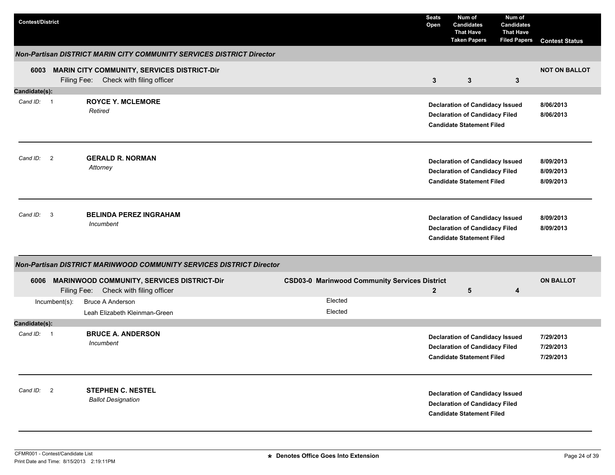| <b>Contest/District</b>              |             |                                                                                          |  |                                                      | <b>Seats</b><br>Open | Num of<br><b>Candidates</b><br><b>That Have</b><br><b>Taken Papers</b>                                              | Num of<br><b>Candidates</b><br><b>That Have</b><br><b>Filed Papers</b> | <b>Contest Status</b>               |
|--------------------------------------|-------------|------------------------------------------------------------------------------------------|--|------------------------------------------------------|----------------------|---------------------------------------------------------------------------------------------------------------------|------------------------------------------------------------------------|-------------------------------------|
|                                      |             | Non-Partisan DISTRICT MARIN CITY COMMUNITY SERVICES DISTRICT Director                    |  |                                                      |                      |                                                                                                                     |                                                                        |                                     |
| 6003                                 | Filing Fee: | <b>MARIN CITY COMMUNITY, SERVICES DISTRICT-Dir</b><br>Check with filing officer          |  |                                                      | $\mathbf{3}$         | $\mathbf{3}$                                                                                                        | $\mathbf{3}$                                                           | <b>NOT ON BALLOT</b>                |
| Candidate(s):                        |             |                                                                                          |  |                                                      |                      |                                                                                                                     |                                                                        |                                     |
| Cand ID: 1                           |             | <b>ROYCE Y. MCLEMORE</b><br>Retired                                                      |  |                                                      |                      | <b>Declaration of Candidacy Issued</b><br><b>Declaration of Candidacy Filed</b><br><b>Candidate Statement Filed</b> |                                                                        | 8/06/2013<br>8/06/2013              |
| Cand ID:<br>$\overline{\phantom{0}}$ |             | <b>GERALD R. NORMAN</b><br>Attorney                                                      |  |                                                      |                      | <b>Declaration of Candidacy Issued</b><br><b>Declaration of Candidacy Filed</b><br><b>Candidate Statement Filed</b> |                                                                        | 8/09/2013<br>8/09/2013<br>8/09/2013 |
| Cand ID: 3                           |             | <b>BELINDA PEREZ INGRAHAM</b><br>Incumbent                                               |  |                                                      |                      | <b>Declaration of Candidacy Issued</b><br><b>Declaration of Candidacy Filed</b><br><b>Candidate Statement Filed</b> |                                                                        | 8/09/2013<br>8/09/2013              |
|                                      |             | Non-Partisan DISTRICT MARINWOOD COMMUNITY SERVICES DISTRICT Director                     |  |                                                      |                      |                                                                                                                     |                                                                        |                                     |
|                                      |             | 6006 MARINWOOD COMMUNITY, SERVICES DISTRICT-Dir<br>Filing Fee: Check with filing officer |  | <b>CSD03-0 Marinwood Community Services District</b> | $\mathbf{2}$         | 5                                                                                                                   | 4                                                                      | <b>ON BALLOT</b>                    |
| Incumbent(s):                        |             | <b>Bruce A Anderson</b><br>Leah Elizabeth Kleinman-Green                                 |  | Elected<br>Elected                                   |                      |                                                                                                                     |                                                                        |                                     |
| Candidate(s):                        |             |                                                                                          |  |                                                      |                      |                                                                                                                     |                                                                        |                                     |
| Cand ID: 1                           |             | <b>BRUCE A. ANDERSON</b><br>Incumbent                                                    |  |                                                      |                      | <b>Declaration of Candidacy Issued</b><br><b>Declaration of Candidacy Filed</b><br><b>Candidate Statement Filed</b> |                                                                        | 7/29/2013<br>7/29/2013<br>7/29/2013 |
| Cand ID: 2                           |             | <b>STEPHEN C. NESTEL</b><br><b>Ballot Designation</b>                                    |  |                                                      |                      | <b>Declaration of Candidacy Issued</b><br><b>Declaration of Candidacy Filed</b><br><b>Candidate Statement Filed</b> |                                                                        |                                     |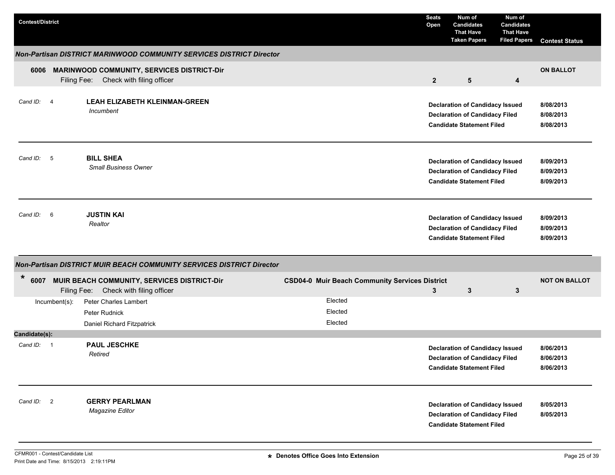| <b>Contest/District</b> |                                                                                            |                                                       | <b>Seats</b><br>Open | Num of<br><b>Candidates</b><br><b>That Have</b><br><b>Taken Papers</b>                                              | Num of<br><b>Candidates</b><br><b>That Have</b><br><b>Filed Papers</b> | <b>Contest Status</b>               |
|-------------------------|--------------------------------------------------------------------------------------------|-------------------------------------------------------|----------------------|---------------------------------------------------------------------------------------------------------------------|------------------------------------------------------------------------|-------------------------------------|
|                         | Non-Partisan DISTRICT MARINWOOD COMMUNITY SERVICES DISTRICT Director                       |                                                       |                      |                                                                                                                     |                                                                        |                                     |
| 6006                    | <b>MARINWOOD COMMUNITY, SERVICES DISTRICT-Dir</b><br>Filing Fee: Check with filing officer |                                                       | $\mathbf{2}$         | $5\phantom{1}$                                                                                                      | 4                                                                      | <b>ON BALLOT</b>                    |
| Cand ID: 4              | <b>LEAH ELIZABETH KLEINMAN-GREEN</b><br>Incumbent                                          |                                                       |                      | <b>Declaration of Candidacy Issued</b><br><b>Declaration of Candidacy Filed</b><br><b>Candidate Statement Filed</b> |                                                                        | 8/08/2013<br>8/08/2013<br>8/08/2013 |
| Cand ID: 5              | <b>BILL SHEA</b><br><b>Small Business Owner</b>                                            |                                                       |                      | <b>Declaration of Candidacy Issued</b><br><b>Declaration of Candidacy Filed</b><br><b>Candidate Statement Filed</b> |                                                                        | 8/09/2013<br>8/09/2013<br>8/09/2013 |
| Cand ID: 6              | <b>JUSTIN KAI</b><br>Realtor                                                               |                                                       |                      | <b>Declaration of Candidacy Issued</b><br><b>Declaration of Candidacy Filed</b><br><b>Candidate Statement Filed</b> |                                                                        | 8/09/2013<br>8/09/2013<br>8/09/2013 |
|                         | Non-Partisan DISTRICT MUIR BEACH COMMUNITY SERVICES DISTRICT Director                      |                                                       |                      |                                                                                                                     |                                                                        |                                     |
| *<br>6007               | MUIR BEACH COMMUNITY, SERVICES DISTRICT-Dir<br>Filing Fee: Check with filing officer       | <b>CSD04-0 Muir Beach Community Services District</b> | 3                    | 3                                                                                                                   | 3                                                                      | <b>NOT ON BALLOT</b>                |
| Incumbent(s):           | Peter Charles Lambert<br>Peter Rudnick<br>Daniel Richard Fitzpatrick                       | Elected<br>Elected<br>Elected                         |                      |                                                                                                                     |                                                                        |                                     |
| Candidate(s):           |                                                                                            |                                                       |                      |                                                                                                                     |                                                                        |                                     |
| Cand ID: 1              | <b>PAUL JESCHKE</b><br>Retired                                                             |                                                       |                      | <b>Declaration of Candidacy Issued</b><br><b>Declaration of Candidacy Filed</b><br><b>Candidate Statement Filed</b> |                                                                        | 8/06/2013<br>8/06/2013<br>8/06/2013 |
| Cand ID: 2              | <b>GERRY PEARLMAN</b><br>Magazine Editor                                                   |                                                       |                      | <b>Declaration of Candidacy Issued</b><br><b>Declaration of Candidacy Filed</b><br><b>Candidate Statement Filed</b> |                                                                        | 8/05/2013<br>8/05/2013              |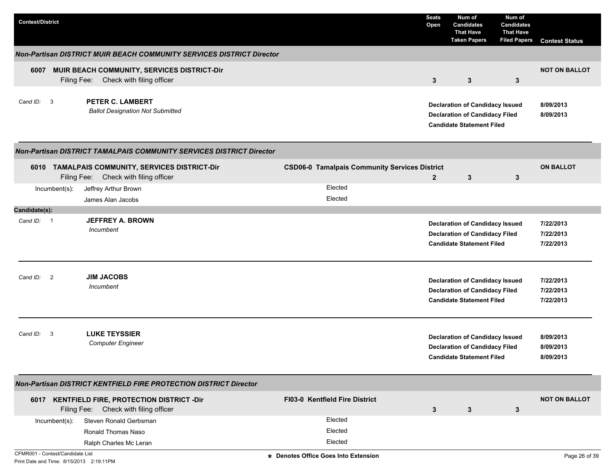| <b>Contest/District</b>             |                                                                                          |                                                      | <b>Seats</b><br>Open | Num of<br><b>Candidates</b><br><b>That Have</b><br><b>Taken Papers</b>                                              | Num of<br><b>Candidates</b><br><b>That Have</b><br><b>Filed Papers</b> | <b>Contest Status</b>               |
|-------------------------------------|------------------------------------------------------------------------------------------|------------------------------------------------------|----------------------|---------------------------------------------------------------------------------------------------------------------|------------------------------------------------------------------------|-------------------------------------|
|                                     | Non-Partisan DISTRICT MUIR BEACH COMMUNITY SERVICES DISTRICT Director                    |                                                      |                      |                                                                                                                     |                                                                        |                                     |
| Filing Fee:                         | 6007 MUIR BEACH COMMUNITY, SERVICES DISTRICT-Dir<br>Check with filing officer            |                                                      | 3                    | 3                                                                                                                   | 3                                                                      | <b>NOT ON BALLOT</b>                |
| Cand ID:<br>$\overline{\mathbf{3}}$ | <b>PETER C. LAMBERT</b><br><b>Ballot Designation Not Submitted</b>                       |                                                      |                      | <b>Declaration of Candidacy Issued</b><br><b>Declaration of Candidacy Filed</b><br><b>Candidate Statement Filed</b> |                                                                        | 8/09/2013<br>8/09/2013              |
|                                     | Non-Partisan DISTRICT TAMALPAIS COMMUNITY SERVICES DISTRICT Director                     |                                                      |                      |                                                                                                                     |                                                                        |                                     |
|                                     | 6010 TAMALPAIS COMMUNITY, SERVICES DISTRICT-Dir<br>Filing Fee: Check with filing officer | <b>CSD06-0 Tamalpais Community Services District</b> | $\overline{2}$       | $\mathbf{3}$                                                                                                        | 3                                                                      | <b>ON BALLOT</b>                    |
| Incumbent(s):                       | Jeffrey Arthur Brown<br>James Alan Jacobs                                                | Elected<br>Elected                                   |                      |                                                                                                                     |                                                                        |                                     |
| Candidate(s):                       |                                                                                          |                                                      |                      |                                                                                                                     |                                                                        |                                     |
| Cand ID: 1                          | <b>JEFFREY A. BROWN</b><br>Incumbent                                                     |                                                      |                      | <b>Declaration of Candidacy Issued</b><br><b>Declaration of Candidacy Filed</b><br><b>Candidate Statement Filed</b> |                                                                        | 7/22/2013<br>7/22/2013<br>7/22/2013 |
| Cand ID: 2                          | <b>JIM JACOBS</b><br>Incumbent                                                           |                                                      |                      | <b>Declaration of Candidacy Issued</b><br><b>Declaration of Candidacy Filed</b><br><b>Candidate Statement Filed</b> |                                                                        | 7/22/2013<br>7/22/2013<br>7/22/2013 |
| $\mathbf{3}$<br>Cand ID:            | <b>LUKE TEYSSIER</b><br><b>Computer Engineer</b>                                         |                                                      |                      | <b>Declaration of Candidacy Issued</b><br><b>Declaration of Candidacy Filed</b><br><b>Candidate Statement Filed</b> |                                                                        | 8/09/2013<br>8/09/2013<br>8/09/2013 |
|                                     | <b>Non-Partisan DISTRICT KENTFIELD FIRE PROTECTION DISTRICT Director</b>                 |                                                      |                      |                                                                                                                     |                                                                        |                                     |
|                                     | 6017 KENTFIELD FIRE, PROTECTION DISTRICT -Dir<br>Filing Fee: Check with filing officer   | FI03-0 Kentfield Fire District                       | 3                    | 3                                                                                                                   | $\mathbf{3}$                                                           | <b>NOT ON BALLOT</b>                |
| Incumbent(s):                       | Steven Ronald Gerbsman                                                                   | Elected                                              |                      |                                                                                                                     |                                                                        |                                     |
|                                     | Ronald Thomas Naso                                                                       | Elected                                              |                      |                                                                                                                     |                                                                        |                                     |
|                                     | Ralph Charles Mc Leran                                                                   | Elected                                              |                      |                                                                                                                     |                                                                        |                                     |
| CFMR001 - Contest/Candidate List    |                                                                                          | * Denotes Office Goes Into Extension                 |                      |                                                                                                                     |                                                                        | Page 26 of 39                       |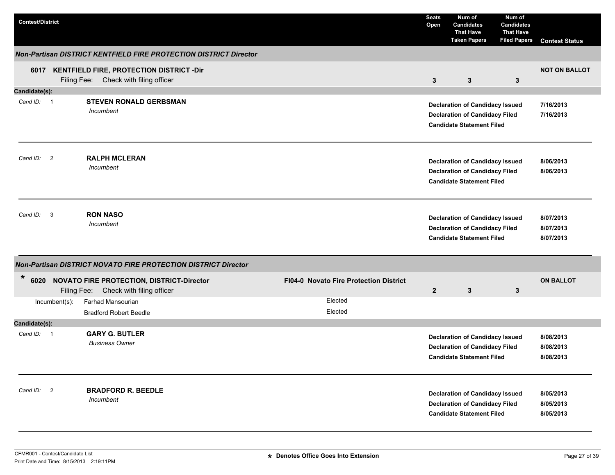| <b>Contest/District</b> |               |                                                                                           |                                        | <b>Seats</b><br>Open | Num of<br><b>Candidates</b><br><b>That Have</b><br><b>Taken Papers</b>                                              | Num of<br><b>Candidates</b><br><b>That Have</b><br><b>Filed Papers</b> | <b>Contest Status</b>               |
|-------------------------|---------------|-------------------------------------------------------------------------------------------|----------------------------------------|----------------------|---------------------------------------------------------------------------------------------------------------------|------------------------------------------------------------------------|-------------------------------------|
|                         |               | Non-Partisan DISTRICT KENTFIELD FIRE PROTECTION DISTRICT Director                         |                                        |                      |                                                                                                                     |                                                                        |                                     |
|                         |               | 6017 KENTFIELD FIRE, PROTECTION DISTRICT -Dir<br>Filing Fee: Check with filing officer    |                                        | $\mathbf{3}$         | $\mathbf{3}$                                                                                                        | $\mathbf{3}$                                                           | <b>NOT ON BALLOT</b>                |
| Candidate(s):           |               |                                                                                           |                                        |                      |                                                                                                                     |                                                                        |                                     |
| Cand ID: 1              |               | <b>STEVEN RONALD GERBSMAN</b><br>Incumbent                                                |                                        |                      | <b>Declaration of Candidacy Issued</b><br><b>Declaration of Candidacy Filed</b><br><b>Candidate Statement Filed</b> |                                                                        | 7/16/2013<br>7/16/2013              |
| Cand ID: 2              |               | <b>RALPH MCLERAN</b><br>Incumbent                                                         |                                        |                      | <b>Declaration of Candidacy Issued</b><br><b>Declaration of Candidacy Filed</b><br><b>Candidate Statement Filed</b> |                                                                        | 8/06/2013<br>8/06/2013              |
| Cand ID:                | 3             | <b>RON NASO</b><br>Incumbent                                                              |                                        |                      | <b>Declaration of Candidacy Issued</b><br><b>Declaration of Candidacy Filed</b><br><b>Candidate Statement Filed</b> |                                                                        | 8/07/2013<br>8/07/2013<br>8/07/2013 |
|                         |               | Non-Partisan DISTRICT NOVATO FIRE PROTECTION DISTRICT Director                            |                                        |                      |                                                                                                                     |                                                                        |                                     |
| *<br>6020               |               | <b>NOVATO FIRE PROTECTION, DISTRICT-Director</b><br>Filing Fee: Check with filing officer | FI04-0 Novato Fire Protection District | $\overline{2}$       | 3                                                                                                                   | 3                                                                      | <b>ON BALLOT</b>                    |
|                         | Incumbent(s): | Farhad Mansourian<br><b>Bradford Robert Beedle</b>                                        | Elected<br>Elected                     |                      |                                                                                                                     |                                                                        |                                     |
| Candidate(s):           |               |                                                                                           |                                        |                      |                                                                                                                     |                                                                        |                                     |
| Cand ID: 1              |               | <b>GARY G. BUTLER</b><br><b>Business Owner</b>                                            |                                        |                      | <b>Declaration of Candidacy Issued</b><br><b>Declaration of Candidacy Filed</b><br><b>Candidate Statement Filed</b> |                                                                        | 8/08/2013<br>8/08/2013<br>8/08/2013 |
| Cand ID: 2              |               | <b>BRADFORD R. BEEDLE</b><br>Incumbent                                                    |                                        |                      | <b>Declaration of Candidacy Issued</b><br><b>Declaration of Candidacy Filed</b><br><b>Candidate Statement Filed</b> |                                                                        | 8/05/2013<br>8/05/2013<br>8/05/2013 |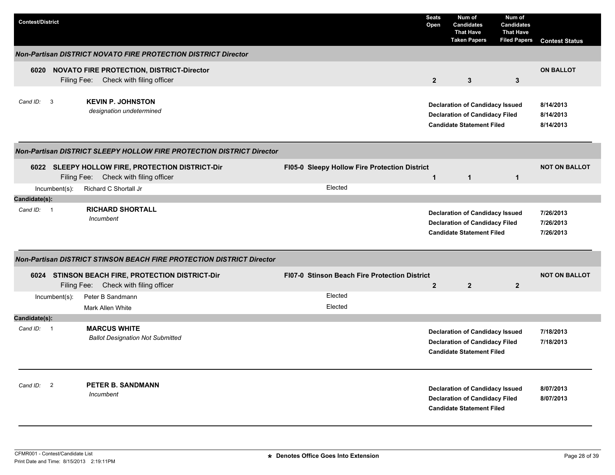| <b>Contest/District</b> |                                                                                           |                                               | <b>Seats</b><br>Open | Num of<br><b>Candidates</b><br><b>That Have</b><br><b>Taken Papers</b>                                              | Num of<br><b>Candidates</b><br><b>That Have</b><br><b>Filed Papers</b> | <b>Contest Status</b>               |
|-------------------------|-------------------------------------------------------------------------------------------|-----------------------------------------------|----------------------|---------------------------------------------------------------------------------------------------------------------|------------------------------------------------------------------------|-------------------------------------|
|                         | <b>Non-Partisan DISTRICT NOVATO FIRE PROTECTION DISTRICT Director</b>                     |                                               |                      |                                                                                                                     |                                                                        |                                     |
|                         | 6020 NOVATO FIRE PROTECTION, DISTRICT-Director<br>Filing Fee: Check with filing officer   |                                               | 2 <sup>2</sup>       | $\mathbf{3}$                                                                                                        | 3                                                                      | <b>ON BALLOT</b>                    |
| Cand ID: 3              | <b>KEVIN P. JOHNSTON</b><br>designation undetermined                                      |                                               |                      | <b>Declaration of Candidacy Issued</b><br><b>Declaration of Candidacy Filed</b><br><b>Candidate Statement Filed</b> |                                                                        | 8/14/2013<br>8/14/2013<br>8/14/2013 |
|                         | Non-Partisan DISTRICT SLEEPY HOLLOW FIRE PROTECTION DISTRICT Director                     |                                               |                      |                                                                                                                     |                                                                        |                                     |
|                         | 6022 SLEEPY HOLLOW FIRE, PROTECTION DISTRICT-Dir<br>Filing Fee: Check with filing officer | FI05-0 Sleepy Hollow Fire Protection District | $\mathbf{1}$         | $\mathbf{1}$                                                                                                        | $\mathbf{1}$                                                           | <b>NOT ON BALLOT</b>                |
| $Incumbent(s)$ :        | Richard C Shortall Jr                                                                     | Elected                                       |                      |                                                                                                                     |                                                                        |                                     |
| Candidate(s):           |                                                                                           |                                               |                      |                                                                                                                     |                                                                        |                                     |
| Cand ID: 1              | <b>RICHARD SHORTALL</b><br>Incumbent                                                      |                                               |                      | <b>Declaration of Candidacy Issued</b><br><b>Declaration of Candidacy Filed</b><br><b>Candidate Statement Filed</b> |                                                                        | 7/26/2013<br>7/26/2013<br>7/26/2013 |
|                         | Non-Partisan DISTRICT STINSON BEACH FIRE PROTECTION DISTRICT Director                     |                                               |                      |                                                                                                                     |                                                                        |                                     |
|                         | 6024 STINSON BEACH FIRE, PROTECTION DISTRICT-Dir<br>Filing Fee: Check with filing officer | FI07-0 Stinson Beach Fire Protection District | $\mathbf{2}$         | $\overline{2}$                                                                                                      | $\mathbf{2}$                                                           | <b>NOT ON BALLOT</b>                |
| Incumbent(s):           | Peter B Sandmann<br>Mark Allen White                                                      | Elected<br>Elected                            |                      |                                                                                                                     |                                                                        |                                     |
| Candidate(s):           |                                                                                           |                                               |                      |                                                                                                                     |                                                                        |                                     |
| Cand ID: 1              | <b>MARCUS WHITE</b><br><b>Ballot Designation Not Submitted</b>                            |                                               |                      | <b>Declaration of Candidacy Issued</b><br><b>Declaration of Candidacy Filed</b><br><b>Candidate Statement Filed</b> |                                                                        | 7/18/2013<br>7/18/2013              |
| Cand ID: 2              | <b>PETER B. SANDMANN</b><br>Incumbent                                                     |                                               |                      | <b>Declaration of Candidacy Issued</b><br><b>Declaration of Candidacy Filed</b><br><b>Candidate Statement Filed</b> |                                                                        | 8/07/2013<br>8/07/2013              |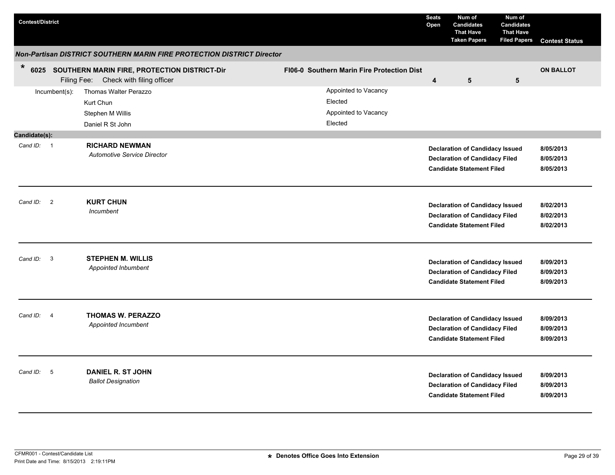| <b>Contest/District</b>             |                                                                                               |                                                                    | <b>Seats</b><br>Open    | Num of<br><b>Candidates</b><br><b>That Have</b><br><b>Taken Papers</b>                                              | Num of<br><b>Candidates</b><br><b>That Have</b><br><b>Filed Papers</b> | <b>Contest Status</b>               |
|-------------------------------------|-----------------------------------------------------------------------------------------------|--------------------------------------------------------------------|-------------------------|---------------------------------------------------------------------------------------------------------------------|------------------------------------------------------------------------|-------------------------------------|
|                                     | Non-Partisan DISTRICT SOUTHERN MARIN FIRE PROTECTION DISTRICT Director                        |                                                                    |                         |                                                                                                                     |                                                                        |                                     |
| $\ast$                              | 6025 SOUTHERN MARIN FIRE, PROTECTION DISTRICT-Dir<br>Filing Fee:<br>Check with filing officer | <b>FI06-0 Southern Marin Fire Protection Dist</b>                  | $\overline{\mathbf{4}}$ | 5                                                                                                                   | 5                                                                      | <b>ON BALLOT</b>                    |
| $Incumbent(s)$ :                    | Thomas Walter Perazzo<br>Kurt Chun<br>Stephen M Willis<br>Daniel R St John                    | Appointed to Vacancy<br>Elected<br>Appointed to Vacancy<br>Elected |                         |                                                                                                                     |                                                                        |                                     |
| Candidate(s):                       |                                                                                               |                                                                    |                         |                                                                                                                     |                                                                        |                                     |
| Cand ID: 1                          | <b>RICHARD NEWMAN</b><br><b>Automotive Service Director</b>                                   |                                                                    |                         | <b>Declaration of Candidacy Issued</b><br><b>Declaration of Candidacy Filed</b><br><b>Candidate Statement Filed</b> |                                                                        | 8/05/2013<br>8/05/2013<br>8/05/2013 |
| Cand ID: 2                          | <b>KURT CHUN</b><br>Incumbent                                                                 |                                                                    |                         | <b>Declaration of Candidacy Issued</b><br><b>Declaration of Candidacy Filed</b><br><b>Candidate Statement Filed</b> |                                                                        | 8/02/2013<br>8/02/2013<br>8/02/2013 |
| Cand ID:<br>$\overline{\mathbf{3}}$ | <b>STEPHEN M. WILLIS</b><br>Appointed Inbumbent                                               |                                                                    |                         | <b>Declaration of Candidacy Issued</b><br><b>Declaration of Candidacy Filed</b><br><b>Candidate Statement Filed</b> |                                                                        | 8/09/2013<br>8/09/2013<br>8/09/2013 |
| Cand ID: 4                          | THOMAS W. PERAZZO<br>Appointed Incumbent                                                      |                                                                    |                         | <b>Declaration of Candidacy Issued</b><br><b>Declaration of Candidacy Filed</b><br><b>Candidate Statement Filed</b> |                                                                        | 8/09/2013<br>8/09/2013<br>8/09/2013 |
| Cand ID: 5                          | <b>DANIEL R. ST JOHN</b><br><b>Ballot Designation</b>                                         |                                                                    |                         | <b>Declaration of Candidacy Issued</b><br><b>Declaration of Candidacy Filed</b><br><b>Candidate Statement Filed</b> |                                                                        | 8/09/2013<br>8/09/2013<br>8/09/2013 |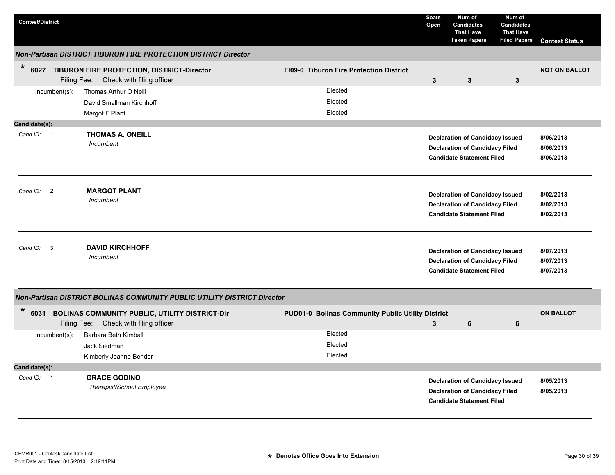| <b>Contest/District</b>              |                                                                                                |  |                                                   | <b>Seats</b><br>Open | Num of<br><b>Candidates</b><br><b>That Have</b><br><b>Taken Papers</b>                                              | Num of<br><b>Candidates</b><br><b>That Have</b><br><b>Filed Papers</b> | <b>Contest Status</b>               |
|--------------------------------------|------------------------------------------------------------------------------------------------|--|---------------------------------------------------|----------------------|---------------------------------------------------------------------------------------------------------------------|------------------------------------------------------------------------|-------------------------------------|
|                                      | <b>Non-Partisan DISTRICT TIBURON FIRE PROTECTION DISTRICT Director</b>                         |  |                                                   |                      |                                                                                                                     |                                                                        |                                     |
| $\ast$                               | 6027 TIBURON FIRE PROTECTION, DISTRICT-Director<br>Filing Fee: Check with filing officer       |  | FI09-0 Tiburon Fire Protection District           | $\mathbf{3}$         | 3                                                                                                                   | 3                                                                      | <b>NOT ON BALLOT</b>                |
| Incumbent(s):                        | Thomas Arthur O Neill                                                                          |  | Elected                                           |                      |                                                                                                                     |                                                                        |                                     |
|                                      | David Smallman Kirchhoff                                                                       |  | Elected                                           |                      |                                                                                                                     |                                                                        |                                     |
|                                      | Margot F Plant                                                                                 |  | Elected                                           |                      |                                                                                                                     |                                                                        |                                     |
| Candidate(s):                        |                                                                                                |  |                                                   |                      |                                                                                                                     |                                                                        |                                     |
| Cand ID: 1                           | <b>THOMAS A. ONEILL</b><br>Incumbent                                                           |  |                                                   |                      | <b>Declaration of Candidacy Issued</b><br><b>Declaration of Candidacy Filed</b><br><b>Candidate Statement Filed</b> |                                                                        | 8/06/2013<br>8/06/2013<br>8/06/2013 |
| $\overline{\phantom{0}}$<br>Cand ID: | <b>MARGOT PLANT</b><br>Incumbent                                                               |  |                                                   |                      | <b>Declaration of Candidacy Issued</b><br><b>Declaration of Candidacy Filed</b><br><b>Candidate Statement Filed</b> |                                                                        | 8/02/2013<br>8/02/2013<br>8/02/2013 |
| $\overline{\mathbf{3}}$<br>Cand ID:  | <b>DAVID KIRCHHOFF</b><br>Incumbent                                                            |  |                                                   |                      | <b>Declaration of Candidacy Issued</b><br><b>Declaration of Candidacy Filed</b><br><b>Candidate Statement Filed</b> |                                                                        | 8/07/2013<br>8/07/2013<br>8/07/2013 |
|                                      | <b>Non-Partisan DISTRICT BOLINAS COMMUNITY PUBLIC UTILITY DISTRICT Director</b>                |  |                                                   |                      |                                                                                                                     |                                                                        |                                     |
| $\ast$<br>6031                       | <b>BOLINAS COMMUNITY PUBLIC, UTILITY DISTRICT-Dir</b><br>Filing Fee: Check with filing officer |  | PUD01-0 Bolinas Community Public Utility District | 3                    | 6                                                                                                                   | 6                                                                      | <b>ON BALLOT</b>                    |
| Incumbent(s):                        | Barbara Beth Kimball                                                                           |  | Elected                                           |                      |                                                                                                                     |                                                                        |                                     |
|                                      | Jack Siedman                                                                                   |  | Elected                                           |                      |                                                                                                                     |                                                                        |                                     |
|                                      | Kimberly Jeanne Bender                                                                         |  | Elected                                           |                      |                                                                                                                     |                                                                        |                                     |
| Candidate(s):                        |                                                                                                |  |                                                   |                      |                                                                                                                     |                                                                        |                                     |
| Cand ID: 1                           | <b>GRACE GODINO</b><br>Therapist/School Employee                                               |  |                                                   |                      | <b>Declaration of Candidacy Issued</b><br><b>Declaration of Candidacy Filed</b><br><b>Candidate Statement Filed</b> |                                                                        | 8/05/2013<br>8/05/2013              |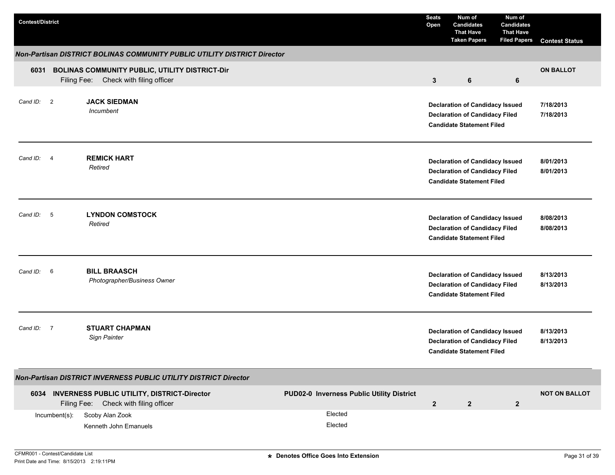| <b>Contest/District</b> |                |                                                                                           |                                           | <b>Seats</b><br>Open | Num of<br><b>Candidates</b><br><b>That Have</b><br><b>Taken Papers</b>                                              | Num of<br><b>Candidates</b><br><b>That Have</b><br><b>Filed Papers</b> | <b>Contest Status</b>  |
|-------------------------|----------------|-------------------------------------------------------------------------------------------|-------------------------------------------|----------------------|---------------------------------------------------------------------------------------------------------------------|------------------------------------------------------------------------|------------------------|
|                         |                | Non-Partisan DISTRICT BOLINAS COMMUNITY PUBLIC UTILITY DISTRICT Director                  |                                           |                      |                                                                                                                     |                                                                        |                        |
| 6031                    |                | BOLINAS COMMUNITY PUBLIC, UTILITY DISTRICT-Dir<br>Filing Fee: Check with filing officer   |                                           | $\mathbf{3}$         | 6                                                                                                                   | 6                                                                      | <b>ON BALLOT</b>       |
| Cand ID: 2              |                | <b>JACK SIEDMAN</b><br>Incumbent                                                          |                                           |                      | <b>Declaration of Candidacy Issued</b><br><b>Declaration of Candidacy Filed</b><br><b>Candidate Statement Filed</b> |                                                                        | 7/18/2013<br>7/18/2013 |
| Cand ID: 4              |                | <b>REMICK HART</b><br>Retired                                                             |                                           |                      | <b>Declaration of Candidacy Issued</b><br><b>Declaration of Candidacy Filed</b><br><b>Candidate Statement Filed</b> |                                                                        | 8/01/2013<br>8/01/2013 |
| Cand ID:                | $-5$           | <b>LYNDON COMSTOCK</b><br>Retired                                                         |                                           |                      | <b>Declaration of Candidacy Issued</b><br><b>Declaration of Candidacy Filed</b><br><b>Candidate Statement Filed</b> |                                                                        | 8/08/2013<br>8/08/2013 |
| Cand ID: 6              |                | <b>BILL BRAASCH</b><br>Photographer/Business Owner                                        |                                           |                      | <b>Declaration of Candidacy Issued</b><br><b>Declaration of Candidacy Filed</b><br><b>Candidate Statement Filed</b> |                                                                        | 8/13/2013<br>8/13/2013 |
| Cand ID:                | $\overline{7}$ | <b>STUART CHAPMAN</b><br><b>Sign Painter</b>                                              |                                           |                      | <b>Declaration of Candidacy Issued</b><br><b>Declaration of Candidacy Filed</b><br><b>Candidate Statement Filed</b> |                                                                        | 8/13/2013<br>8/13/2013 |
|                         |                | Non-Partisan DISTRICT INVERNESS PUBLIC UTILITY DISTRICT Director                          |                                           |                      |                                                                                                                     |                                                                        |                        |
|                         |                | 6034 INVERNESS PUBLIC UTILITY, DISTRICT-Director<br>Filing Fee: Check with filing officer | PUD02-0 Inverness Public Utility District | $\overline{2}$       | $\overline{2}$                                                                                                      | $\mathbf{2}$                                                           | <b>NOT ON BALLOT</b>   |
|                         | Incumbent(s):  | Scoby Alan Zook<br>Kenneth John Emanuels                                                  | Elected<br>Elected                        |                      |                                                                                                                     |                                                                        |                        |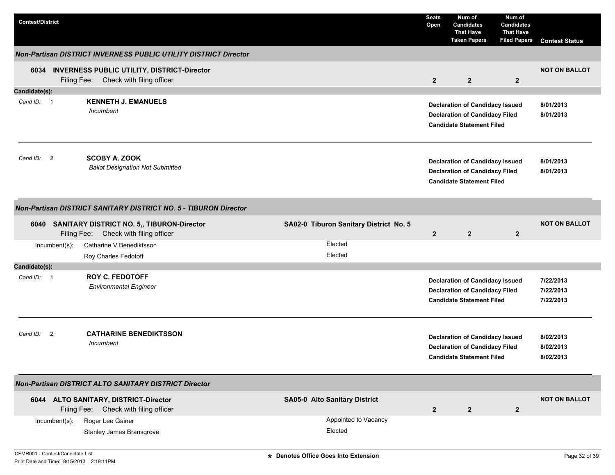| <b>Contest/District</b> |                                                                                                                                    | <b>Seats</b><br>Open | Num of<br><b>Candidates</b><br><b>That Have</b><br><b>Taken Papers</b>                                              | Num of<br><b>Candidates</b><br><b>That Have</b><br><b>Filed Papers</b> | <b>Contest Status</b>               |
|-------------------------|------------------------------------------------------------------------------------------------------------------------------------|----------------------|---------------------------------------------------------------------------------------------------------------------|------------------------------------------------------------------------|-------------------------------------|
|                         | Non-Partisan DISTRICT INVERNESS PUBLIC UTILITY DISTRICT Director                                                                   |                      |                                                                                                                     |                                                                        |                                     |
|                         | 6034 INVERNESS PUBLIC UTILITY, DISTRICT-Director<br>Filing Fee: Check with filing officer                                          | $\overline{2}$       | $\overline{2}$                                                                                                      | $\overline{2}$                                                         | <b>NOT ON BALLOT</b>                |
| Candidate(s):           |                                                                                                                                    |                      |                                                                                                                     |                                                                        |                                     |
| Cand ID: 1              | <b>KENNETH J. EMANUELS</b><br>Incumbent                                                                                            |                      | <b>Declaration of Candidacy Issued</b><br><b>Declaration of Candidacy Filed</b><br><b>Candidate Statement Filed</b> |                                                                        | 8/01/2013<br>8/01/2013              |
| Cand ID: 2              | <b>SCOBY A. ZOOK</b><br><b>Ballot Designation Not Submitted</b>                                                                    |                      | <b>Declaration of Candidacy Issued</b><br><b>Declaration of Candidacy Filed</b><br><b>Candidate Statement Filed</b> |                                                                        | 8/01/2013<br>8/01/2013              |
|                         | Non-Partisan DISTRICT SANITARY DISTRICT NO. 5 - TIBURON Director                                                                   |                      |                                                                                                                     |                                                                        |                                     |
|                         | SA02-0 Tiburon Sanitary District No. 5<br>6040 SANITARY DISTRICT NO. 5,, TIBURON-Director<br>Filing Fee: Check with filing officer | $\overline{2}$       | $\overline{2}$                                                                                                      | $\overline{2}$                                                         | <b>NOT ON BALLOT</b>                |
| Incumbent(s):           | Elected<br>Catharine V Benediktsson                                                                                                |                      |                                                                                                                     |                                                                        |                                     |
|                         | Elected<br>Roy Charles Fedotoff                                                                                                    |                      |                                                                                                                     |                                                                        |                                     |
| Candidate(s):           |                                                                                                                                    |                      |                                                                                                                     |                                                                        |                                     |
| Cand ID: 1              | <b>ROY C. FEDOTOFF</b><br><b>Environmental Engineer</b>                                                                            |                      | <b>Declaration of Candidacy Issued</b><br><b>Declaration of Candidacy Filed</b><br><b>Candidate Statement Filed</b> |                                                                        | 7/22/2013<br>7/22/2013<br>7/22/2013 |
| Cand ID: 2              | <b>CATHARINE BENEDIKTSSON</b><br>Incumbent                                                                                         |                      | <b>Declaration of Candidacy Issued</b><br><b>Declaration of Candidacy Filed</b><br><b>Candidate Statement Filed</b> |                                                                        | 8/02/2013<br>8/02/2013<br>8/02/2013 |
|                         | Non-Partisan DISTRICT ALTO SANITARY DISTRICT Director                                                                              |                      |                                                                                                                     |                                                                        |                                     |
|                         | 6044 ALTO SANITARY, DISTRICT-Director<br><b>SA05-0 Alto Sanitary District</b><br>Filing Fee: Check with filing officer             | $\overline{2}$       | $\overline{2}$                                                                                                      | $\overline{2}$                                                         | <b>NOT ON BALLOT</b>                |
| Incumbent(s):           | Appointed to Vacancy<br>Roger Lee Gainer<br>Elected<br>Stanley James Bransgrove                                                    |                      |                                                                                                                     |                                                                        |                                     |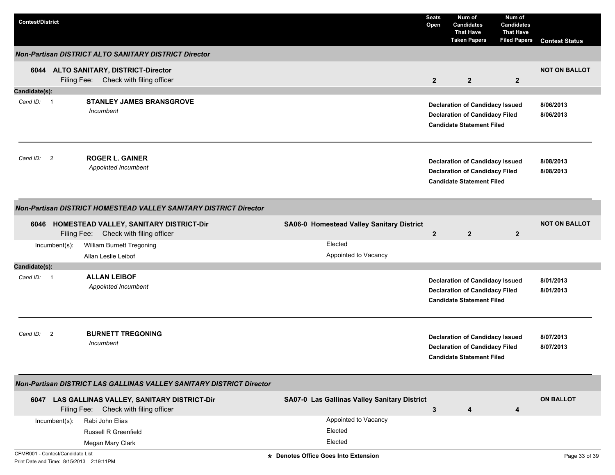| <b>Contest/District</b>          |                  |                                                                                          |                                              | <b>Seats</b><br>Open | Num of<br><b>Candidates</b><br><b>That Have</b><br><b>Taken Papers</b>                                              | Num of<br><b>Candidates</b><br><b>That Have</b><br><b>Filed Papers</b> | <b>Contest Status</b>  |
|----------------------------------|------------------|------------------------------------------------------------------------------------------|----------------------------------------------|----------------------|---------------------------------------------------------------------------------------------------------------------|------------------------------------------------------------------------|------------------------|
|                                  |                  | <b>Non-Partisan DISTRICT ALTO SANITARY DISTRICT Director</b>                             |                                              |                      |                                                                                                                     |                                                                        |                        |
|                                  |                  | 6044 ALTO SANITARY, DISTRICT-Director<br>Filing Fee: Check with filing officer           |                                              | $\mathbf{2}$         | $\mathbf{2}$                                                                                                        | $\mathbf{2}$                                                           | <b>NOT ON BALLOT</b>   |
| Candidate(s):                    |                  |                                                                                          |                                              |                      |                                                                                                                     |                                                                        |                        |
| Cand ID: 1                       |                  | <b>STANLEY JAMES BRANSGROVE</b><br>Incumbent                                             |                                              |                      | <b>Declaration of Candidacy Issued</b><br><b>Declaration of Candidacy Filed</b><br><b>Candidate Statement Filed</b> |                                                                        | 8/06/2013<br>8/06/2013 |
| Cand ID:                         | $\overline{2}$   | <b>ROGER L. GAINER</b><br>Appointed Incumbent                                            |                                              |                      | <b>Declaration of Candidacy Issued</b><br><b>Declaration of Candidacy Filed</b><br><b>Candidate Statement Filed</b> |                                                                        | 8/08/2013<br>8/08/2013 |
|                                  |                  | Non-Partisan DISTRICT HOMESTEAD VALLEY SANITARY DISTRICT Director                        |                                              |                      |                                                                                                                     |                                                                        |                        |
|                                  |                  | 6046 HOMESTEAD VALLEY, SANITARY DISTRICT-Dir<br>Filing Fee: Check with filing officer    | SA06-0 Homestead Valley Sanitary District    | $\mathbf{2}$         | $\overline{2}$                                                                                                      | $\overline{2}$                                                         | <b>NOT ON BALLOT</b>   |
|                                  | $Incumbent(s)$ : | William Burnett Tregoning<br>Allan Leslie Leibof                                         | Elected<br>Appointed to Vacancy              |                      |                                                                                                                     |                                                                        |                        |
| Candidate(s):                    |                  |                                                                                          |                                              |                      |                                                                                                                     |                                                                        |                        |
| Cand ID: 1                       |                  | <b>ALLAN LEIBOF</b><br>Appointed Incumbent                                               |                                              |                      | <b>Declaration of Candidacy Issued</b><br><b>Declaration of Candidacy Filed</b><br><b>Candidate Statement Filed</b> |                                                                        | 8/01/2013<br>8/01/2013 |
| Cand ID:                         | $\overline{2}$   | <b>BURNETT TREGONING</b><br>Incumbent                                                    |                                              |                      | <b>Declaration of Candidacy Issued</b><br><b>Declaration of Candidacy Filed</b><br><b>Candidate Statement Filed</b> |                                                                        | 8/07/2013<br>8/07/2013 |
|                                  |                  | Non-Partisan DISTRICT LAS GALLINAS VALLEY SANITARY DISTRICT Director                     |                                              |                      |                                                                                                                     |                                                                        |                        |
|                                  |                  | 6047 LAS GALLINAS VALLEY, SANITARY DISTRICT-Dir<br>Filing Fee: Check with filing officer | SA07-0 Las Gallinas Valley Sanitary District | 3                    | 4                                                                                                                   | 4                                                                      | <b>ON BALLOT</b>       |
|                                  | Incumbent(s):    | Rabi John Elias                                                                          | Appointed to Vacancy                         |                      |                                                                                                                     |                                                                        |                        |
|                                  |                  | <b>Russell R Greenfield</b>                                                              | Elected                                      |                      |                                                                                                                     |                                                                        |                        |
|                                  |                  | Megan Mary Clark                                                                         | Elected                                      |                      |                                                                                                                     |                                                                        |                        |
| CFMR001 - Contest/Candidate List |                  | Print Date and Time: 8/15/2013 2:19:11PM                                                 | * Denotes Office Goes Into Extension         |                      |                                                                                                                     |                                                                        | Page 33 of 39          |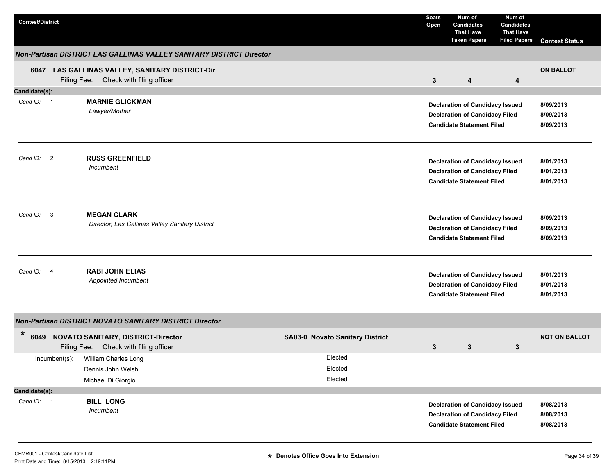| <b>Contest/District</b> |                                                                                          |                                        | <b>Seats</b><br>Open | Num of<br><b>Candidates</b><br><b>That Have</b><br><b>Taken Papers</b>                                              | Num of<br><b>Candidates</b><br><b>That Have</b><br><b>Filed Papers</b> | <b>Contest Status</b>               |
|-------------------------|------------------------------------------------------------------------------------------|----------------------------------------|----------------------|---------------------------------------------------------------------------------------------------------------------|------------------------------------------------------------------------|-------------------------------------|
|                         | Non-Partisan DISTRICT LAS GALLINAS VALLEY SANITARY DISTRICT Director                     |                                        |                      |                                                                                                                     |                                                                        |                                     |
|                         | 6047 LAS GALLINAS VALLEY, SANITARY DISTRICT-Dir<br>Filing Fee: Check with filing officer |                                        | $\mathbf{3}$         | 4                                                                                                                   | 4                                                                      | <b>ON BALLOT</b>                    |
| Candidate(s):           |                                                                                          |                                        |                      |                                                                                                                     |                                                                        |                                     |
| Cand ID: 1              | <b>MARNIE GLICKMAN</b><br>Lawyer/Mother                                                  |                                        |                      | <b>Declaration of Candidacy Issued</b><br><b>Declaration of Candidacy Filed</b><br><b>Candidate Statement Filed</b> |                                                                        | 8/09/2013<br>8/09/2013<br>8/09/2013 |
| Cand ID: 2              | <b>RUSS GREENFIELD</b><br>Incumbent                                                      |                                        |                      | <b>Declaration of Candidacy Issued</b><br><b>Declaration of Candidacy Filed</b><br><b>Candidate Statement Filed</b> |                                                                        | 8/01/2013<br>8/01/2013<br>8/01/2013 |
| Cand ID: 3              | <b>MEGAN CLARK</b><br>Director, Las Gallinas Valley Sanitary District                    |                                        |                      | <b>Declaration of Candidacy Issued</b><br><b>Declaration of Candidacy Filed</b><br><b>Candidate Statement Filed</b> |                                                                        | 8/09/2013<br>8/09/2013<br>8/09/2013 |
| Cand ID: 4              | <b>RABI JOHN ELIAS</b><br>Appointed Incumbent                                            |                                        |                      | <b>Declaration of Candidacy Issued</b><br><b>Declaration of Candidacy Filed</b><br><b>Candidate Statement Filed</b> |                                                                        | 8/01/2013<br>8/01/2013<br>8/01/2013 |
|                         | Non-Partisan DISTRICT NOVATO SANITARY DISTRICT Director                                  |                                        |                      |                                                                                                                     |                                                                        |                                     |
| *<br>6049               | <b>NOVATO SANITARY, DISTRICT-Director</b><br>Filing Fee: Check with filing officer       | <b>SA03-0 Novato Sanitary District</b> | 3                    | 3                                                                                                                   | 3                                                                      | <b>NOT ON BALLOT</b>                |
|                         | Incumbent(s): William Charles Long<br>Dennis John Welsh<br>Michael Di Giorgio            | Elected<br>Elected<br>Elected          |                      |                                                                                                                     |                                                                        |                                     |
| Candidate(s):           |                                                                                          |                                        |                      |                                                                                                                     |                                                                        |                                     |
| Cand ID: 1              | <b>BILL LONG</b><br>Incumbent                                                            |                                        |                      | <b>Declaration of Candidacy Issued</b><br><b>Declaration of Candidacy Filed</b><br><b>Candidate Statement Filed</b> |                                                                        | 8/08/2013<br>8/08/2013<br>8/08/2013 |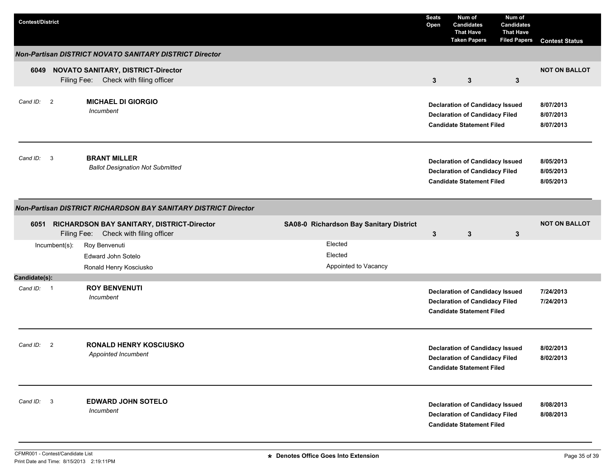| <b>Contest/District</b> |                  |                                                                                          |                                            | <b>Seats</b><br>Open | Num of<br><b>Candidates</b><br><b>That Have</b><br><b>Taken Papers</b>                                              | Num of<br><b>Candidates</b><br><b>That Have</b><br><b>Filed Papers</b> | <b>Contest Status</b>               |
|-------------------------|------------------|------------------------------------------------------------------------------------------|--------------------------------------------|----------------------|---------------------------------------------------------------------------------------------------------------------|------------------------------------------------------------------------|-------------------------------------|
|                         |                  | <b>Non-Partisan DISTRICT NOVATO SANITARY DISTRICT Director</b>                           |                                            |                      |                                                                                                                     |                                                                        |                                     |
| 6049                    |                  | <b>NOVATO SANITARY, DISTRICT-Director</b><br>Filing Fee: Check with filing officer       |                                            | $\mathbf{3}$         | 3                                                                                                                   | $\mathbf{3}$                                                           | <b>NOT ON BALLOT</b>                |
| Cand ID: 2              |                  | <b>MICHAEL DI GIORGIO</b><br>Incumbent                                                   |                                            |                      | <b>Declaration of Candidacy Issued</b><br><b>Declaration of Candidacy Filed</b><br><b>Candidate Statement Filed</b> |                                                                        | 8/07/2013<br>8/07/2013<br>8/07/2013 |
| Cand ID: 3              |                  | <b>BRANT MILLER</b><br><b>Ballot Designation Not Submitted</b>                           |                                            |                      | <b>Declaration of Candidacy Issued</b><br><b>Declaration of Candidacy Filed</b><br><b>Candidate Statement Filed</b> |                                                                        | 8/05/2013<br>8/05/2013<br>8/05/2013 |
|                         |                  | <b>Non-Partisan DISTRICT RICHARDSON BAY SANITARY DISTRICT Director</b>                   |                                            |                      |                                                                                                                     |                                                                        |                                     |
|                         |                  | 6051 RICHARDSON BAY SANITARY, DISTRICT-Director<br>Filing Fee: Check with filing officer | SA08-0 Richardson Bay Sanitary District    | 3                    | 3                                                                                                                   | 3                                                                      | <b>NOT ON BALLOT</b>                |
|                         | $Incumbent(s)$ : | Roy Benvenuti<br>Edward John Sotelo<br>Ronald Henry Kosciusko                            | Elected<br>Elected<br>Appointed to Vacancy |                      |                                                                                                                     |                                                                        |                                     |
| Candidate(s):           |                  |                                                                                          |                                            |                      |                                                                                                                     |                                                                        |                                     |
| Cand ID: 1              |                  | <b>ROY BENVENUTI</b><br>Incumbent                                                        |                                            |                      | <b>Declaration of Candidacy Issued</b><br><b>Declaration of Candidacy Filed</b><br><b>Candidate Statement Filed</b> |                                                                        | 7/24/2013<br>7/24/2013              |
| Cand ID:                | $\overline{2}$   | <b>RONALD HENRY KOSCIUSKO</b><br>Appointed Incumbent                                     |                                            |                      | <b>Declaration of Candidacy Issued</b><br><b>Declaration of Candidacy Filed</b><br><b>Candidate Statement Filed</b> |                                                                        | 8/02/2013<br>8/02/2013              |
| Cand ID: 3              |                  | <b>EDWARD JOHN SOTELO</b><br>Incumbent                                                   |                                            |                      | <b>Declaration of Candidacy Issued</b><br><b>Declaration of Candidacy Filed</b><br><b>Candidate Statement Filed</b> |                                                                        | 8/08/2013<br>8/08/2013              |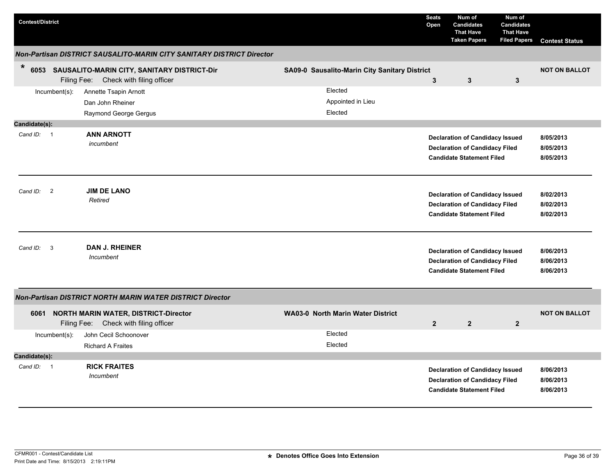| <b>Contest/District</b>             |                                                                                           |                                               | <b>Seats</b><br>Open | Num of<br><b>Candidates</b><br><b>That Have</b><br><b>Taken Papers</b>                                              | Num of<br><b>Candidates</b><br><b>That Have</b><br><b>Filed Papers</b> | <b>Contest Status</b>               |
|-------------------------------------|-------------------------------------------------------------------------------------------|-----------------------------------------------|----------------------|---------------------------------------------------------------------------------------------------------------------|------------------------------------------------------------------------|-------------------------------------|
|                                     | Non-Partisan DISTRICT SAUSALITO-MARIN CITY SANITARY DISTRICT Director                     |                                               |                      |                                                                                                                     |                                                                        |                                     |
| $\ast$                              | 6053 SAUSALITO-MARIN CITY, SANITARY DISTRICT-Dir<br>Filing Fee: Check with filing officer | SA09-0 Sausalito-Marin City Sanitary District | 3                    | 3                                                                                                                   | 3                                                                      | <b>NOT ON BALLOT</b>                |
| $Incumbent(s)$ :                    | Annette Tsapin Arnott<br>Dan John Rheiner<br>Raymond George Gergus                        | Elected<br>Appointed in Lieu<br>Elected       |                      |                                                                                                                     |                                                                        |                                     |
| Candidate(s):                       |                                                                                           |                                               |                      |                                                                                                                     |                                                                        |                                     |
| Cand ID: 1                          | <b>ANN ARNOTT</b><br>incumbent                                                            |                                               |                      | <b>Declaration of Candidacy Issued</b><br><b>Declaration of Candidacy Filed</b><br><b>Candidate Statement Filed</b> |                                                                        | 8/05/2013<br>8/05/2013<br>8/05/2013 |
| $\overline{2}$<br>Cand ID:          | <b>JIM DE LANO</b><br>Retired                                                             |                                               |                      | <b>Declaration of Candidacy Issued</b><br><b>Declaration of Candidacy Filed</b><br><b>Candidate Statement Filed</b> |                                                                        | 8/02/2013<br>8/02/2013<br>8/02/2013 |
| $\overline{\mathbf{3}}$<br>Cand ID: | <b>DAN J. RHEINER</b><br>Incumbent                                                        |                                               |                      | <b>Declaration of Candidacy Issued</b><br><b>Declaration of Candidacy Filed</b><br><b>Candidate Statement Filed</b> |                                                                        | 8/06/2013<br>8/06/2013<br>8/06/2013 |
|                                     | Non-Partisan DISTRICT NORTH MARIN WATER DISTRICT Director                                 |                                               |                      |                                                                                                                     |                                                                        |                                     |
|                                     | 6061 NORTH MARIN WATER, DISTRICT-Director<br>Filing Fee:<br>Check with filing officer     | <b>WA03-0 North Marin Water District</b>      | $\mathbf{2}$         | $\overline{2}$                                                                                                      | $\overline{2}$                                                         | <b>NOT ON BALLOT</b>                |
| $Incumbent(s)$ :                    | John Cecil Schoonover                                                                     | Elected                                       |                      |                                                                                                                     |                                                                        |                                     |
|                                     | <b>Richard A Fraites</b>                                                                  | Elected                                       |                      |                                                                                                                     |                                                                        |                                     |
| Candidate(s):                       |                                                                                           |                                               |                      |                                                                                                                     |                                                                        |                                     |
| Cand $ID: 1$                        | <b>RICK FRAITES</b><br>Incumbent                                                          |                                               |                      | <b>Declaration of Candidacy Issued</b><br><b>Declaration of Candidacy Filed</b><br><b>Candidate Statement Filed</b> |                                                                        | 8/06/2013<br>8/06/2013<br>8/06/2013 |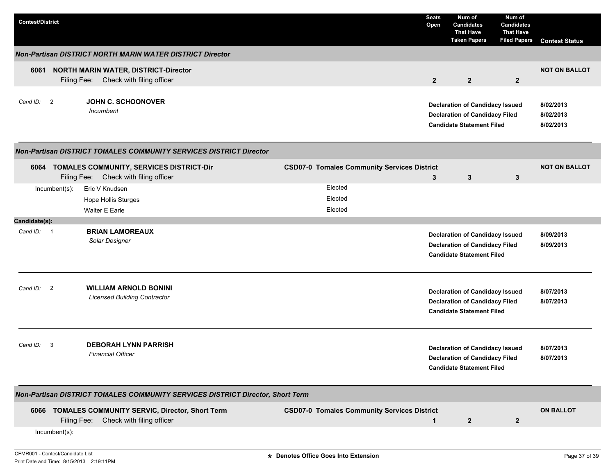| <b>Contest/District</b>                                                        |                         |                                                                                              |  |  |                                                    | <b>Seats</b><br>Open | Num of<br><b>Candidates</b><br><b>That Have</b><br><b>Taken Papers</b>                                              | Num of<br><b>Candidates</b><br><b>That Have</b><br><b>Filed Papers</b> | <b>Contest Status</b>               |
|--------------------------------------------------------------------------------|-------------------------|----------------------------------------------------------------------------------------------|--|--|----------------------------------------------------|----------------------|---------------------------------------------------------------------------------------------------------------------|------------------------------------------------------------------------|-------------------------------------|
| <b>Non-Partisan DISTRICT NORTH MARIN WATER DISTRICT Director</b>               |                         |                                                                                              |  |  |                                                    |                      |                                                                                                                     |                                                                        |                                     |
| 6061                                                                           |                         | <b>NORTH MARIN WATER, DISTRICT-Director</b><br>Filing Fee: Check with filing officer         |  |  |                                                    | $\overline{2}$       | $\overline{2}$                                                                                                      | $\overline{2}$                                                         | <b>NOT ON BALLOT</b>                |
| Cand ID: 2                                                                     |                         | <b>JOHN C. SCHOONOVER</b><br>Incumbent                                                       |  |  |                                                    |                      | <b>Declaration of Candidacy Issued</b><br><b>Declaration of Candidacy Filed</b><br><b>Candidate Statement Filed</b> |                                                                        | 8/02/2013<br>8/02/2013<br>8/02/2013 |
| <b>Non-Partisan DISTRICT TOMALES COMMUNITY SERVICES DISTRICT Director</b>      |                         |                                                                                              |  |  |                                                    |                      |                                                                                                                     |                                                                        |                                     |
|                                                                                | Filing Fee:             | 6064 TOMALES COMMUNITY, SERVICES DISTRICT-Dir<br>Check with filing officer                   |  |  | <b>CSD07-0 Tomales Community Services District</b> | 3                    | 3                                                                                                                   | $\mathbf{3}$                                                           | <b>NOT ON BALLOT</b>                |
|                                                                                | Incumbent(s):           | Eric V Knudsen                                                                               |  |  | Elected                                            |                      |                                                                                                                     |                                                                        |                                     |
|                                                                                |                         | <b>Hope Hollis Sturges</b>                                                                   |  |  | Elected                                            |                      |                                                                                                                     |                                                                        |                                     |
|                                                                                |                         | Walter E Earle                                                                               |  |  | Elected                                            |                      |                                                                                                                     |                                                                        |                                     |
| Candidate(s):                                                                  |                         |                                                                                              |  |  |                                                    |                      |                                                                                                                     |                                                                        |                                     |
| Cand ID: 1                                                                     |                         | <b>BRIAN LAMOREAUX</b><br>Solar Designer                                                     |  |  |                                                    |                      | <b>Declaration of Candidacy Issued</b><br><b>Declaration of Candidacy Filed</b><br><b>Candidate Statement Filed</b> |                                                                        | 8/09/2013<br>8/09/2013              |
| Cand ID:                                                                       | $\overline{2}$          | <b>WILLIAM ARNOLD BONINI</b><br><b>Licensed Building Contractor</b>                          |  |  |                                                    |                      | <b>Declaration of Candidacy Issued</b><br><b>Declaration of Candidacy Filed</b><br><b>Candidate Statement Filed</b> |                                                                        | 8/07/2013<br>8/07/2013              |
| Cand ID:                                                                       | $\overline{\mathbf{3}}$ | <b>DEBORAH LYNN PARRISH</b><br><b>Financial Officer</b>                                      |  |  |                                                    |                      | <b>Declaration of Candidacy Issued</b><br><b>Declaration of Candidacy Filed</b><br><b>Candidate Statement Filed</b> |                                                                        | 8/07/2013<br>8/07/2013              |
| Non-Partisan DISTRICT TOMALES COMMUNITY SERVICES DISTRICT Director, Short Term |                         |                                                                                              |  |  |                                                    |                      |                                                                                                                     |                                                                        |                                     |
|                                                                                |                         | 6066 TOMALES COMMUNITY SERVIC, Director, Short Term<br>Filing Fee: Check with filing officer |  |  | <b>CSD07-0 Tomales Community Services District</b> | $\mathbf{1}$         | $\overline{2}$                                                                                                      | $\mathbf{2}$                                                           | <b>ON BALLOT</b>                    |
|                                                                                | Incumbent(s):           |                                                                                              |  |  |                                                    |                      |                                                                                                                     |                                                                        |                                     |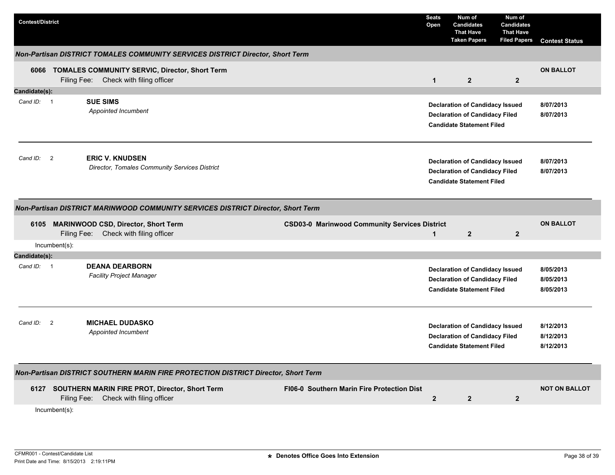| <b>Contest/District</b>                                                            |                                                                                                                                              | <b>Seats</b><br>Open    | Num of<br><b>Candidates</b><br><b>That Have</b><br><b>Taken Papers</b>                                              | Num of<br><b>Candidates</b><br><b>That Have</b><br><b>Filed Papers</b> | <b>Contest Status</b>               |  |  |  |
|------------------------------------------------------------------------------------|----------------------------------------------------------------------------------------------------------------------------------------------|-------------------------|---------------------------------------------------------------------------------------------------------------------|------------------------------------------------------------------------|-------------------------------------|--|--|--|
| Non-Partisan DISTRICT TOMALES COMMUNITY SERVICES DISTRICT Director, Short Term     |                                                                                                                                              |                         |                                                                                                                     |                                                                        |                                     |  |  |  |
|                                                                                    | 6066 TOMALES COMMUNITY SERVIC, Director, Short Term<br>Filing Fee: Check with filing officer                                                 | $\mathbf{1}$            | $\mathbf{2}$                                                                                                        | $\mathbf{2}$                                                           | <b>ON BALLOT</b>                    |  |  |  |
| Candidate(s):                                                                      |                                                                                                                                              |                         |                                                                                                                     |                                                                        |                                     |  |  |  |
| Cand ID: 1                                                                         | <b>SUE SIMS</b><br>Appointed Incumbent                                                                                                       |                         | <b>Declaration of Candidacy Issued</b><br><b>Declaration of Candidacy Filed</b><br><b>Candidate Statement Filed</b> |                                                                        | 8/07/2013<br>8/07/2013              |  |  |  |
| Cand ID: 2                                                                         | <b>ERIC V. KNUDSEN</b><br>Director, Tomales Community Services District                                                                      |                         | <b>Declaration of Candidacy Issued</b><br><b>Declaration of Candidacy Filed</b><br><b>Candidate Statement Filed</b> |                                                                        | 8/07/2013<br>8/07/2013              |  |  |  |
|                                                                                    | Non-Partisan DISTRICT MARINWOOD COMMUNITY SERVICES DISTRICT Director, Short Term                                                             |                         |                                                                                                                     |                                                                        |                                     |  |  |  |
|                                                                                    | <b>CSD03-0 Marinwood Community Services District</b><br>6105 MARINWOOD CSD, Director, Short Term<br>Filing Fee:<br>Check with filing officer | $\mathbf{1}$            | $\mathbf{2}$                                                                                                        | $\mathbf{2}$                                                           | <b>ON BALLOT</b>                    |  |  |  |
|                                                                                    | $Incumbent(s)$ :                                                                                                                             |                         |                                                                                                                     |                                                                        |                                     |  |  |  |
| Candidate(s):                                                                      |                                                                                                                                              |                         |                                                                                                                     |                                                                        |                                     |  |  |  |
| Cand ID: 1                                                                         | <b>DEANA DEARBORN</b><br><b>Facility Project Manager</b>                                                                                     |                         | <b>Declaration of Candidacy Issued</b><br><b>Declaration of Candidacy Filed</b><br><b>Candidate Statement Filed</b> |                                                                        | 8/05/2013<br>8/05/2013<br>8/05/2013 |  |  |  |
| $\overline{\mathbf{2}}$<br>Cand ID:                                                | <b>MICHAEL DUDASKO</b><br>Appointed Incumbent                                                                                                |                         | <b>Declaration of Candidacy Issued</b><br><b>Declaration of Candidacy Filed</b><br><b>Candidate Statement Filed</b> |                                                                        | 8/12/2013<br>8/12/2013<br>8/12/2013 |  |  |  |
| Non-Partisan DISTRICT SOUTHERN MARIN FIRE PROTECTION DISTRICT Director, Short Term |                                                                                                                                              |                         |                                                                                                                     |                                                                        |                                     |  |  |  |
|                                                                                    | 6127 SOUTHERN MARIN FIRE PROT, Director, Short Term<br>FI06-0 Southern Marin Fire Protection Dist<br>Filing Fee: Check with filing officer   | $\overline{\mathbf{2}}$ | $\mathbf{2}$                                                                                                        | $\mathbf{2}$                                                           | <b>NOT ON BALLOT</b>                |  |  |  |
|                                                                                    | Incumbent(s):                                                                                                                                |                         |                                                                                                                     |                                                                        |                                     |  |  |  |